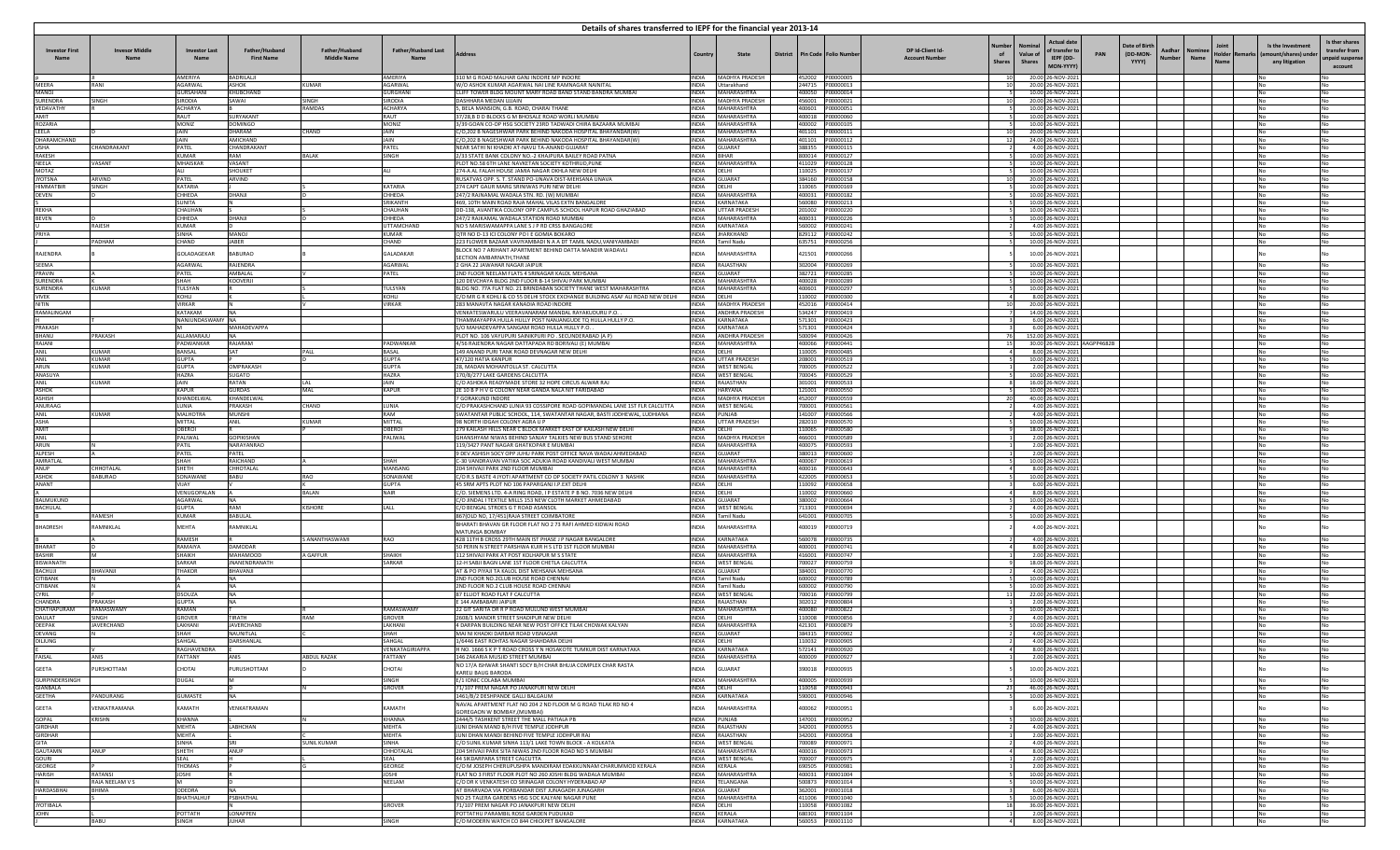|                                    |                                      |                             |                                     |                                      |                                    | Details of shares transferred to IEPF for the financial year 2013-14                                                     |                              |                                         |                              |                                      |                                                                                                                                                                                                                                                                   |                                                        |                                                                   |
|------------------------------------|--------------------------------------|-----------------------------|-------------------------------------|--------------------------------------|------------------------------------|--------------------------------------------------------------------------------------------------------------------------|------------------------------|-----------------------------------------|------------------------------|--------------------------------------|-------------------------------------------------------------------------------------------------------------------------------------------------------------------------------------------------------------------------------------------------------------------|--------------------------------------------------------|-------------------------------------------------------------------|
| <b>Investor First</b>              | <b>Invesor Middle</b><br><b>Name</b> | <b>Investor Last</b>        | Father/Husband<br><b>First Name</b> | Father/Husband<br><b>Middle Name</b> | <b>Father/Husband Last</b><br>Name |                                                                                                                          | Country                      | <b>State</b>                            | District Pin Code Folio Numb |                                      | <b>Actual date</b><br><b>Date of Birth</b><br>DP Id-Client Id-<br>of transfer to<br>Aadhar<br>of<br>Value of<br>PAN<br>(DD-MON-<br>Holder<br><b>Account Number</b><br>IEPF (DD-<br><b>Number</b><br>Name<br>YYYY)<br>Name<br><b>Shares</b><br>Shares<br>MON-YYYY) | Is the Investmen<br>ount/shares) und<br>any litigation | Is ther shares<br>transfer from<br><b>Inpaid suspe</b><br>account |
|                                    |                                      | AMERIYA                     | BADRILALII                          |                                      | AMERIYA                            | 310 M G ROAD MALHAR GANJ INDORE MP INDORE                                                                                |                              | INDIA MADHYA PRADESH                    |                              | 452002 P00000005                     | 20.00 26-NOV-2021<br>10                                                                                                                                                                                                                                           |                                                        |                                                                   |
| MEERA<br>MANOL                     | RANI                                 | AGARWAI<br><b>GURSAHANI</b> | <b>ASHOK</b><br>KHURCHAND           | KUMAR                                | <b>AGARWAL</b><br>GURGHANI         | W/O ASHOK KUMAR AGARWAL NAI LINE RAMNAGAR NAINITAI<br>CLIFF TOWER BLDG MOUNT MARY ROAD BAND STAND BANDRA MUMBAL          |                              | INDIA Uttarakhand<br>INDIA MAHARASHTRA  |                              | 244715 P00000013<br>400050 P00000014 | 20.00 26-NOV-2021<br>10<br>10.00 26-NOV-202:                                                                                                                                                                                                                      |                                                        | No<br>No                                                          |
| SURENDRA                           | SINGH                                | SIRODIA                     | SAWAI                               | <b>SINGH</b>                         | <b>SIRODIA</b>                     | DASHHARA MEDAN UJJAIN                                                                                                    |                              | INDIA MADHYA PRADESH                    |                              |                                      | 20.00 26-NOV-2021                                                                                                                                                                                                                                                 |                                                        | No                                                                |
| VEDAVATHY                          |                                      | ACHARYA                     |                                     | <b>AMDAS</b>                         | <b>ACHARYA</b>                     | , BELA MANSION, G.B. ROAD, CHARAI THANE                                                                                  | INDIA                        | MAHARASHTRA                             |                              |                                      | 10.00 26-NOV-2021                                                                                                                                                                                                                                                 |                                                        | No                                                                |
| AMIT<br><b>ROZARIA</b>             |                                      | RAUT<br>MONIZ               | SURYAKANT<br><b>DOMINGO</b>         |                                      | RAUT<br>MONIZ                      | 37/28,B D D BLOCKS G M BHOSALE ROAD WORLI MUMBAI<br>3/39 GOAN CO-OP HSG SOCIETY 23RD TADWADI CHIRA BAZAARA MUMBAI        |                              | INDIA MAHARASHTRA<br>INDIA MAHARASHTRA  |                              | 400002 P00000105                     | 10.00 26-NOV-2021<br>10.00 26-NOV-2021                                                                                                                                                                                                                            |                                                        | No<br>No                                                          |
| LEELA                              |                                      | JAIN                        | DHARAM                              | <b>CHAND</b>                         | JAIN                               | C/O.202 B NAGESHWAR PARK BEHIND NAKODA HOSPITAL BHAYANDAR(W)                                                             |                              | INDIA MAHARASHTRA                       |                              |                                      | 20.00 26-NOV-2021<br>10 <sup>1</sup>                                                                                                                                                                                                                              |                                                        | No                                                                |
| DHARAMCHAND                        |                                      | JAIN                        | <b>MICHAND</b>                      |                                      | JAIN                               | C/O.202 B NAGESHWAR PARK BEHIND NAKODA HOSPITAL BHAYANDAR(W)                                                             | <b>INDIA</b>                 | MAHARASHTRA                             |                              |                                      | 12<br>24.00 26-NOV-2021                                                                                                                                                                                                                                           |                                                        | No                                                                |
| <b>USHA</b><br><b>RAKESH</b>       | CHANDRAKANT                          | PATEL<br>KUMAR              | <b>CHANDRAKAN</b><br>RAM            | <b>BAI AK</b>                        | PATEL<br>SINGH                     | NEAR SATHI NI KHADKI AT-NAVLI TA-ANAND GUJARAT<br>2/33 STATE BANK COLONY NO.-2 KHAIPURA BAILEY ROAD PATNA                | <b>INDIA</b><br>INDIA BIHAR  | GUIARAT                                 |                              | 388355 P00000115<br>800014 P00000127 | 4.00 26-NOV-2021<br>10.00 26-NOV-202                                                                                                                                                                                                                              |                                                        | No<br>No                                                          |
| NEELA                              | VASANT                               | MHAISKAR                    | VASANT                              |                                      |                                    | PLOT NO.58 6TH LANE NAVKETAN SOCIETY KOTHRUD, PUNE                                                                       |                              | INDIA MAHARASHTRA                       |                              | 411029 P00000128                     | 10.00 26-NOV-2021                                                                                                                                                                                                                                                 | No                                                     | No                                                                |
| <b>MOTAZ</b>                       |                                      | ALI                         | <b>SHOUKET</b>                      |                                      | ALI                                | 274-A AL FALAH HOUSE JAMIA NAGAR OKHLA NEW DELHI                                                                         | INDIA                        | DELHI                                   |                              |                                      | 10.00 26-NOV-2021                                                                                                                                                                                                                                                 |                                                        | No                                                                |
| <b>JYOTSNA</b><br><b>HIMMATRIR</b> | ARVIND<br><b>SINGH</b>               | PATEL<br>KATARIA            | ARVIND                              |                                      | KATARIA                            | RUSATVAS OPP. S. T. STAND PO-UNAVA DIST-MEHSANA UNAVA<br>274 CAPT GAUR MARG SRINIWAS PURLNEW DELHI                       | <b>INDIA</b><br><b>INDIA</b> | GUJARAT<br><b>IDELHI</b>                |                              | 384160 P00000158                     | 20.00 26-NOV-2021<br>10.00 26-NOV-202:                                                                                                                                                                                                                            |                                                        | No<br>No                                                          |
| <b>DEVEN</b>                       |                                      | CHHEDA                      | DHANJI                              |                                      | CHHEDA                             | 247/2 RAJNAMAL WADALA STN, RD, (W) MUMBAI                                                                                | <b>INDIA</b>                 | MAHARASHTRA                             |                              | 400031 P00000182                     | 10.00 26-NOV-2021                                                                                                                                                                                                                                                 |                                                        | No                                                                |
|                                    |                                      | <b>SUNITA</b>               |                                     |                                      | SRIKANTH                           | 469, 10TH MAIN ROAD RAJA MAHAL VILAS EXTN BANGALORE                                                                      | <b>INDIA</b>                 | KARNATAKA                               |                              | 560080 P00000213                     | 10.00 26-NOV-2021                                                                                                                                                                                                                                                 |                                                        | No                                                                |
| <b>REKHA</b><br><b>BEVEN</b>       |                                      | CHAUHAN<br><b>CHHFDA</b>    | DHANII                              |                                      | CHAUHAN<br>CHHEDA                  | DD-138, AVANTIKA COLONY OPP.CAMPUS SCHOOL HAPUR ROAD GHAZIABAD<br>247/2 RAIKAMAL WADALA STATION ROAD MUMRAL              | <b>INDIA</b><br><b>INDIA</b> | UTTAR PRADESH<br>MAHARASHTRA            |                              | 201002 P00000220<br>400031 P00000226 | 10.00 26-NOV-2021<br>10.00 26-NOV-202:                                                                                                                                                                                                                            |                                                        | No                                                                |
|                                    | RAJESH                               | <b>KUMAR</b>                |                                     |                                      | UTTAMCHAND                         | NO 5 MARISWAMAPPA LANE S J P RD CRSS BANGALORE                                                                           | <b>INDIA</b>                 | KARNATAKA                               |                              | 560002 P00000241                     | 4.00 26-NOV-2021                                                                                                                                                                                                                                                  |                                                        | No<br>No                                                          |
| PRIYA                              |                                      | SINHA                       | <b>MANOJ</b>                        |                                      | KUMAR                              | QTR NO D-13 ICI COLONY PO I E GOMIA BOKARO                                                                               | INDIA                        | <b>JHARKHAND</b>                        |                              | 829112 P00000242                     | 10.00 26-NOV-2021                                                                                                                                                                                                                                                 |                                                        | No                                                                |
|                                    | <b>ADHAN</b>                         | CHAND                       | <b>JABER</b>                        |                                      | CHAND                              | 223 FLOWER BAZAAR VAVIYAMBADI N A A DT TAMIL NADU, VANIYAMBADI                                                           | <b>INDIA</b>                 | Tamil Nadu                              | 635751                       | P00000256                            | 10.00 26-NOV-2021                                                                                                                                                                                                                                                 |                                                        | No                                                                |
| RAJENDRA                           |                                      | GOLADAGEKAR                 | <b>BABURAO</b>                      |                                      | GALADAKAR                          | BLOCK NO 7 ARIHANT APARTMENT BEHIND DATTA MANDIR WADAVL<br>SECTION AMBARNATH, THANE                                      | <b>INDIA</b>                 | MAHARASHTRA                             | 421501                       | P00000266                            | 10.00 26-NOV-2021                                                                                                                                                                                                                                                 |                                                        |                                                                   |
| SEEMA                              |                                      | AGARWAL                     | RAJENDRA                            |                                      | AGARWAL                            | 2 GHA 22 JAWAHAR NAGAR JAIPUR                                                                                            | <b>INDIA</b>                 | RAJASTHAN                               |                              | 302004 P00000269                     | 10.00 26-NOV-2021                                                                                                                                                                                                                                                 |                                                        | No                                                                |
| PRAVIN                             |                                      | PATEL                       | AMBALAL                             |                                      | PATEL                              | 2ND FLOOR NEELAM FLATS 4 SRINAGAR KALOL MEHSANA                                                                          | <b>INDIA</b>                 | GUJARAT                                 |                              | 382721 P00000285                     | 10.00 26-NOV-2021                                                                                                                                                                                                                                                 |                                                        | No                                                                |
| <b>SURFNDRA</b><br><b>SURFNDRA</b> | KUMAR                                | SHAH<br>TULSYAN             | KOOVERJI                            |                                      | TUI SYAN                           | 120 DEVCHAYA BLDG 2ND FLOOR B-14 SHIVAJ PARK MUMBAI<br>BLDG NO. 77A FLAT NO. 21 BRINDABAN SOCIETY THANE WEST MAHARASHTRA | <b>INDIA</b><br><b>INDIA</b> | MAHARASHTRA<br>MAHARASHTRA              |                              | 400028 P00000289<br>400601 P00000297 | 10.00 26-NOV-2021<br>10.00 26-NOV-2021                                                                                                                                                                                                                            | No                                                     | No<br>No                                                          |
| <b>VIVEK</b>                       |                                      | KOHLI                       |                                     |                                      | KOHLI                              | C/O MR G R KOHLI & CO 55 DELHI STOCK EXCHANGE BUILDING ASAF ALI ROAD NEW DELHI                                           | <b>INDIA</b>                 | DELHI                                   |                              | 110002 P00000300                     | 8.00 26-NOV-2021                                                                                                                                                                                                                                                  |                                                        | No                                                                |
| NITIN                              |                                      | VIRKAR                      |                                     |                                      | VIRKAR                             | 283 MANAVTA NAGAR KANADIA ROAD INDORF                                                                                    | <b>INDIA</b>                 | <b>MADHYA PRADESH</b>                   | 452016                       | P00000414                            | 20.00 26-NOV-2021                                                                                                                                                                                                                                                 |                                                        | No                                                                |
| RAMALINGAM                         |                                      | KATAKAM<br>NANJUNDASWAMY NA |                                     |                                      |                                    | VENKATESWARULU VEERAVANARAM MANDAL RAYAKUDURU P.O.<br>THAMMAYAPPA HULLA HULLY POST NANJANGUDE TO HULLA HULLY P.O.        | <b>INDIA</b><br><b>INDIA</b> | <b>ANDHRA PRADESH</b><br>KARNATAKA      |                              | 571301 P00000423                     | 14.00 26-NOV-2021<br>6.00 26-NOV-2021                                                                                                                                                                                                                             | No                                                     | No<br><b>No</b>                                                   |
| <b>PRAKASH</b>                     |                                      | M                           | MAHADEVAPPA                         |                                      |                                    | S/O MAHADEVAPPA SANGAM ROAD HULLA HULLY P.O.                                                                             |                              | INDIA KARNATAKA                         |                              |                                      | 6.00 26-NOV-2021                                                                                                                                                                                                                                                  | No                                                     | No                                                                |
| BHANU                              | PRAKASH                              | ALLAMARAJU                  |                                     |                                      |                                    | PLOT NO. 106 VAYUPURI SAINIKPURI PO . SECUNDERABAD (A P)                                                                 | <b>INDIA</b>                 | <b>ANDHRA PRADESH</b>                   |                              |                                      | 152.00 26-NOV-2021                                                                                                                                                                                                                                                | No.                                                    | No                                                                |
| RAJANI                             | KUMAR                                | PADWANKAR<br><b>BANSAL</b>  | RAJARAM                             |                                      | PADWANKAR<br><b>BASAL</b>          | 4/56 RAIENDRA NAGAR DATTAPADA RD BORIVALL (E) MUMBAL                                                                     | <b>INDIA</b><br>INDIA DEIHI  | MAHARASHTRA                             |                              | 400066 P00000441                     | 30.00 26-NOV-2021 AAGPP4682B                                                                                                                                                                                                                                      |                                                        | No                                                                |
| ANIL<br>ANIL                       | KUMAR                                | <b>GUPTA</b>                | SAT                                 | PALL                                 | <b>GUPTA</b>                       | 149 ANAND PURI TANK ROAD DEVNAGAR NEW DELHI<br>47/120 HATIA KANPUR                                                       |                              | INDIA UTTAR PRADESH                     |                              |                                      | 8.00 26-NOV-2021<br>10.00 26-NOV-202                                                                                                                                                                                                                              | No                                                     | No<br>No                                                          |
| <b>ARUN</b>                        | KUMAR                                | <b>GUPTA</b>                | OMPRAKASH                           |                                      | <b>GUPTA</b>                       | 28, MADAN MOHANTOLLA ST. CALCUTTA                                                                                        | <b>INDIA</b>                 | <b>WEST BENGAL</b>                      |                              |                                      | 2.00 26-NOV-202:                                                                                                                                                                                                                                                  |                                                        | No                                                                |
| ANASUYA                            | KUMAR                                | HAZRA                       | SUGATO<br>RATAN                     |                                      | HAZRA                              | 170/B/277 LAKE GARDENS CALCUTTA<br>(O ASHOKA READYMADE STORE 32 HOPE CIRCUS ALWAR RAL)                                   | <b>INDIA</b>                 | <b>WEST BENGAL</b><br>INDIA RAIASTHAN   |                              | 700045 P00000529                     | 10.00 26-NOV-2021                                                                                                                                                                                                                                                 |                                                        |                                                                   |
| ANIL<br><b>ASHOK</b>               |                                      | JAIN<br><b>KAPUR</b>        | <b>GURDAS</b>                       | I AI<br>MAL                          | <b>JAIN</b><br><b>KAPUR</b>        | 2E 10 B P H V G COLONY NEAR GANDA NALA NIT FARIDABAD                                                                     |                              | INDIA HARYANA                           |                              | 301001 P00000533                     | 16.00 26-NOV-2021<br>10.00 26-NOV-2021                                                                                                                                                                                                                            |                                                        | No<br>No                                                          |
| <b>ASHISH</b>                      |                                      | KHANDELWAL                  | KHANDELWA                           |                                      |                                    | <b>7 GORAKUND INDORE</b>                                                                                                 |                              | INDIA MADHYA PRADESH                    |                              | 452007 P00000559                     | 40.00 26-NOV-2021                                                                                                                                                                                                                                                 |                                                        | No                                                                |
| <b>ANURAAC</b>                     |                                      | LUNIA                       | PRAKASH                             | CHAND                                | LUNIA                              | C/O PRAKASHCHAND LUNIA 93 COSSIPORE ROAD GOPIMANDAL LANE 1ST FLR CALCUTTA                                                | <b>INDIA</b>                 | <b>WEST BENGAL</b>                      |                              |                                      | 4.00 26-NOV-2021                                                                                                                                                                                                                                                  |                                                        | No                                                                |
| ANIL<br><b>ASHA</b>                | KUMAR                                | <b>MAI HOTRA</b><br>MITTAL  | <b>MUNSHI</b><br>ANII               | KUMAR                                | RAM<br>MITTAL                      | SWATANTAR PUBLIC SCHOOL, 114, SWATANTAR NAGAR, BASTI JODHEWAL, LUDHIANA<br>98 NORTH IDGAH COLONY AGRA U.P.               | INDIA PUNIAR                 | INDIA LITTAR PRADESH                    |                              | 282010 P00000570                     | 4.00 26-NOV-2021<br>10.00 26-NOV-2021                                                                                                                                                                                                                             | No<br>N٥                                               | No<br>No                                                          |
| AMIT                               |                                      | OBEROI                      |                                     |                                      | OBEROI                             | 279 KAILASH HILLS NEAR C BLOCK MARKET EAST OF KAILASH NEW DELHI                                                          | INDIA DELHI                  |                                         |                              | 110065 P00000580                     | 18.00 26-NOV-2021                                                                                                                                                                                                                                                 |                                                        | No                                                                |
| ANIL                               |                                      | PALIWAL                     | <b>GOPIKISHAN</b>                   |                                      | PALIWAL                            | GHANSHYAM NIWAS BEHIND SANJAY TALKIES NEW BUS STAND SEHORE                                                               | INDIA                        | MADHYA PRADESH                          |                              | 466001 P00000589                     | 2.00 26-NOV-2021                                                                                                                                                                                                                                                  |                                                        | No                                                                |
| ARUN<br>AI PFSH                    |                                      | PATIL<br>PATFI              | NARAYANRAO<br>PATFI                 |                                      |                                    | 119/3427 PANT NAGAR GHATKOPAR E MUMBAI<br>9 DEV ASHISH SOCY OPP ILIHU PARK POST OFFICE NAVA WADAI AHMEDABAD.             |                              | INDIA MAHARASHTRA<br>INDIA GUIARAT      |                              | 400075 P00000593                     | 2.00 26-NOV-2021<br>2.00 26-NOV-2021                                                                                                                                                                                                                              |                                                        | No                                                                |
| AMRATLAL                           |                                      | SHAH                        | RAICHAND                            |                                      | SHAH                               | C-30 VANDRAVAN VATIKA SOC ADUKIA ROAD KANDIVALI WEST MUMBAI                                                              |                              | INDIA MAHARASHTRA                       |                              |                                      | 10.00 26-NOV-2021                                                                                                                                                                                                                                                 | <b>No</b>                                              | <b>No</b><br><b>No</b>                                            |
| ANUP                               | CHHOTALAI                            | SHETH                       | CHHOTALAI                           |                                      | MANSANG                            | 204 SHIVAJI PARK 2ND FLOOR MUMBAI                                                                                        |                              | INDIA MAHARASHTRA                       |                              | 400016 P00000643                     | 8.00 26-NOV-2021                                                                                                                                                                                                                                                  | No                                                     | No                                                                |
| <b>ASHOK</b><br>ANANT              | <b>BABURAO</b>                       | SONAWANE                    | <b>BABU</b>                         | RAO                                  | SONAWANE                           | C/O R.S BASTE 4 JYOTI APARTMENT CO OP SOCIETY PATIL COLONY 3 NASHIK                                                      |                              | INDIA MAHARASHTRA                       |                              | 422005 P00000653<br>110092 P00000658 | 10.00 26-NOV-2021                                                                                                                                                                                                                                                 |                                                        | No                                                                |
|                                    |                                      | VIIAY<br>VENUGOPALAN        |                                     | AI AN                                | GUPTA<br>NAIR                      | 45 SRM APTS PLOT NO 106 PAPARGANLLP EXT DELHI<br>C/O. SIEMENS LTD. 4-A RING ROAD, I P ESTATE P B NO. 7036 NEW DELHI      | INDIA DELHI<br>INDIA DELHI   |                                         |                              | 110002 P00000660                     | 6.00 26-NOV-202<br>8.00 26-NOV-2021                                                                                                                                                                                                                               |                                                        | No<br>No                                                          |
| BALMUKUND                          |                                      | AGARWAL                     |                                     |                                      |                                    | /O JINDAL I TEXTILE MILLS 153 NEW CLOTH MARKET AHMEDABAD                                                                 | INDIA                        | <b>GUJARAT</b>                          |                              | 380002 P00000664                     | 10.00 26-NOV-2021                                                                                                                                                                                                                                                 |                                                        | No                                                                |
| <b>BACHULAL</b>                    |                                      | <b>GUPTA</b>                | RAM                                 | KISHORE                              | LALL                               | C/O BENGAL STROES G T ROAD ASANSOL                                                                                       | <b>INDIA</b>                 | <b>WEST BENGAL</b>                      |                              |                                      | 4.00 26-NOV-2021                                                                                                                                                                                                                                                  |                                                        | No                                                                |
|                                    | <b>RAMFSH</b>                        | KUMAR                       | <b>BABULAL</b>                      |                                      |                                    | 867(OLD NO. 17/451)RAJA STREET COIMBATORE<br>BHARATI BHAVAN GR FLOOR FLAT NO 2 73 RAFI AHMED KIDWAI ROAD                 |                              | INDIA Tamil Nadu                        |                              |                                      | 10.00 26-NOV-202:                                                                                                                                                                                                                                                 |                                                        | No                                                                |
| <b>BHADRESH</b>                    | RAMNIKLAL                            | <b>MEHTA</b>                | RAMNIKLAL                           |                                      |                                    | MATUNGA ROMBAY                                                                                                           | <b>INDIA</b>                 | MAHARASHTRA                             | 400019                       | P00000719                            | 4.00 26-NOV-2021                                                                                                                                                                                                                                                  |                                                        |                                                                   |
|                                    |                                      | <b>RAMFSH</b>               |                                     | <b>ANANTHASWAMI</b>                  | RAO                                | 428 11TH B CROSS 29TH MAIN IST PHASE J P NAGAR BANGALORE                                                                 | <b>INDIA</b>                 | KARNATAKA                               |                              | 560078 P00000735                     | 4.00 26-NOV-2021                                                                                                                                                                                                                                                  |                                                        | No                                                                |
| <b>BHARAT</b><br><b>BASHIR</b>     |                                      | RAMAIYA<br>SHAIKH           | DAMODAR<br><b>MAHAMOOD</b>          | A GAFFUR                             | SHAIKH                             | 50 PERIN N STREET PARSHWA KUIR H S ITD 1ST FLOOR MUMBAL<br>112 SHIVAJI PARK AT POST KOLHAPUR M S STATE                   | <b>INDIA</b><br><b>INDIA</b> | MAHARASHTRA<br>MAHARASHTRA              |                              | 400001 P00000741<br>416001 P00000747 | 8.00 26-NOV-2023<br>2.00 26-NOV-2021                                                                                                                                                                                                                              | No<br>No                                               | No<br>No                                                          |
| <b>BISWANATH</b>                   |                                      | SARKAR                      | NANENDRANATH                        |                                      | <b>SARKAR</b>                      | 2-H SABJI BAGN LANE 1ST FLOOR CHETLA CALCUTTA                                                                            | INDIA                        | <b>WEST BENGAL</b>                      |                              | 700027 P00000759                     | 18.00 26-NOV-2021                                                                                                                                                                                                                                                 |                                                        | No                                                                |
| <b>BACHUJI</b>                     | BHAVANJI                             | <b>THAKOR</b>               | BHAVANJI                            |                                      |                                    | AT & PO PIYAJI TA KALOL DIST MEHSANA MEHSANA                                                                             | <b>INDIA</b>                 | <b>GUJARAT</b>                          |                              |                                      | 4.00 26-NOV-2021                                                                                                                                                                                                                                                  |                                                        |                                                                   |
| <b>CITIBANK</b>                    |                                      |                             | NΔ                                  |                                      |                                    | 2ND FLOOR NO.2CLUB HOUSE ROAD CHENNAI                                                                                    | <b>INDIA</b>                 | Tamil Nadu                              |                              | 600002 P00000789                     | 10.00 26-NOV-2023                                                                                                                                                                                                                                                 |                                                        | No                                                                |
| <b>CITIBANK</b><br><b>CYRIL</b>    |                                      | <b>DSOUZA</b>               | <b>NA</b><br><b>NA</b>              |                                      |                                    | 2ND FLOOR NO.2 CLUB HOUSE ROAD CHENNAI<br>87 ELLIOT ROAD FLAT F CALCUTTA                                                 | <b>INDIA</b><br><b>INDIA</b> | <b>Tamil Nadu</b><br><b>WEST BENGAL</b> |                              |                                      | 10.00 26-NOV-2021<br>11<br>22.00 26-NOV-2021                                                                                                                                                                                                                      | No                                                     | <b>No</b><br>No                                                   |
| CHANDRA                            | PRAKASH                              | <b>GUPTA</b>                |                                     |                                      |                                    | E 144 AMBABARI JAIPUR                                                                                                    | <b>INDIA</b>                 | RAJASTHAN                               |                              |                                      | 2.00 26-NOV-2021                                                                                                                                                                                                                                                  |                                                        | No                                                                |
| CHATHAPURAM                        | RAMASWAMY                            | RAMAN                       |                                     |                                      | RAMASWAMY                          | 22 GIT SARITA DR R P ROAD MULUND WEST MUMBAI                                                                             | <b>INDIA</b>                 | MAHARASHTRA                             |                              | 400080 P00000822                     | 10.00 26-NOV-2021                                                                                                                                                                                                                                                 |                                                        | No                                                                |
| DAULAT<br>DEEPAK                   | <b>SINGH</b><br><b>JAVERCHAND</b>    | <b>GROVER</b><br>LAKHANI    | TIRATH<br>JAVERCHAND                | RAM                                  | GROVER<br>LAKHANI                  | 2608/1 MANDIR STREET SHADIPLIR NEW DELHI<br>4 DARPAN BUILDING NEAR NEW POST OFFICE TILAK CHOWAK KALYAN                   | INDIA DELHI                  | INDIA MAHARASHTRA                       |                              | 421301 P00000879                     | 4.00 26-NOV-2021<br>10.00 26-NOV-2021                                                                                                                                                                                                                             | No<br>No                                               | No<br><b>No</b>                                                   |
| <b>DEVANG</b>                      |                                      | SHAH                        | <b>JAUNITLAL</b>                    |                                      | SHAH                               | MAI NI KHADKI DARBAR ROAD VISNAGAR                                                                                       |                              | INDIA GUJARAT                           |                              | 384315 P00000902                     | 4.00 26-NOV-202:                                                                                                                                                                                                                                                  |                                                        | No                                                                |
| <b>DILJUNG</b>                     |                                      | SAHGAL                      | DARSHANLAI                          |                                      | SAHGAL                             | 1/6446 EAST ROHTAS NAGAR SHAHDARA DELHI                                                                                  | INDIA DELHI                  |                                         |                              | 110032 P00000905                     | 4.00 26-NOV-2021                                                                                                                                                                                                                                                  |                                                        |                                                                   |
| FAISAL                             | ANIS                                 | RAGHAVENDRA<br>FATTANY      | ANIS                                | ABDUL RAZAK                          | VENKATAGIRIAPPA<br>FATTANY         | H NO. 1666 S K P T ROAD CROSS Y N HOSAKOTE TUMKUR DIST KARNATAKA<br>146 ZAKARIA MUSJID STREET MUMBAI                     |                              | INDIA KARNATAKA<br>INDIA MAHARASHTRA    |                              | 400009 P00000927                     | 8.00 26-NOV-202:<br>2.00 26-NOV-2021                                                                                                                                                                                                                              |                                                        | No                                                                |
| <b>GEETA</b>                       | PURSHOTTAM                           | CHOTAI                      |                                     |                                      |                                    | NO 17/A ISHWAR SHANTI SOCY B/H CHAR BHUJA COMPLEX CHAR RASTA                                                             |                              | GUJARAT                                 |                              |                                      |                                                                                                                                                                                                                                                                   |                                                        |                                                                   |
|                                    |                                      |                             | <b>URUSHOTTAM</b>                   |                                      | <b>HOTAI</b>                       | KARELI BAUG BARODA                                                                                                       | INDIA                        |                                         | 390018                       | P00000935                            | 10.00 26-NOV-2021                                                                                                                                                                                                                                                 |                                                        |                                                                   |
| <b>GURPINDERSINGH</b><br>GIANBALA  |                                      | <b>DUGAL</b>                |                                     |                                      | SINGH<br><b>GROVER</b>             | E/1 IONIC COLABA MUMBAI<br>71/107 PREM NAGAR PO JANAKPURI NEW DELHI                                                      | INDIA DELHI                  | INDIA MAHARASHTRA                       |                              | 400005 P00000939<br>110058 P00000943 | 10.00 26-NOV-2021<br>46.00 26-NOV-2021<br>23                                                                                                                                                                                                                      | No<br>No                                               | No<br>No                                                          |
| <b>GEETHA</b>                      | PANDURANG                            | <b>GUMASTE</b>              |                                     |                                      |                                    | 1461/B/2 DESHPANDE GALLI BALGAUM                                                                                         |                              | INDIA KARNATAKA                         |                              |                                      | 10.00 26-NOV-2021                                                                                                                                                                                                                                                 |                                                        | No                                                                |
| <b>GEETA</b>                       | VENKATRAMANA                         | KAMATH                      | VENKATRAMAN                         |                                      | KAMATH                             | NAVAL APARTMENT FLAT NO 204 2 ND FLOOR M G ROAD TILAK RD NO 4                                                            | <b>INDIA</b>                 | MAHARASHTRA                             | 400062                       | P00000951                            | 6.00 26-NOV-2021                                                                                                                                                                                                                                                  |                                                        |                                                                   |
| GOPAL                              |                                      |                             |                                     |                                      |                                    | GOREGAON W BOMBAY,(MUMBAI)                                                                                               |                              |                                         |                              |                                      |                                                                                                                                                                                                                                                                   |                                                        |                                                                   |
| <b>GIRDHAR</b>                     | <b>KRISHN</b>                        | <b>KHANNA</b><br>MEHTA      | LABHCHAN                            |                                      | <b>KHANNA</b><br><b>MEHTA</b>      | 2444/5 TASHKENT STREET THE MALL PATIALA PB<br>JUNI DHAN MAND B/H FIVE TEMPLE JODHPUR                                     | INDIA PUNJAB                 | INDIA RAJASTHAN                         |                              |                                      | 10.00 26-NOV-2021<br>4.00 26-NOV-2021                                                                                                                                                                                                                             | No<br>No                                               | <b>No</b><br>No                                                   |
| GIRDHAR                            |                                      | <b>MEHTA</b>                |                                     |                                      | <b>MEHTA</b>                       | JUNI DHAN MANDI BEHIND FIVE TEMPLE JODHPUR RAJ                                                                           |                              | INDIA RAJASTHAN                         |                              |                                      | 2.00 26-NOV-2021                                                                                                                                                                                                                                                  | No                                                     | No                                                                |
| GITA                               |                                      | <b>SINHA</b>                |                                     | SUNIL KUMAR                          | <b>SINHA</b>                       | C/O SUNIL KUMAR SINHA 113/1 LAKE TOWN BLOCK - A KOLKATA                                                                  |                              | INDIA WEST BENGAL                       |                              |                                      | 4.00 26-NOV-2021                                                                                                                                                                                                                                                  | No                                                     | No                                                                |
| <b>GAUTAMN</b><br>GOURI            | ANUP                                 | SHETH<br>SEAL               | ANUP                                |                                      | CHHOTALAL<br>SEAL                  | 204 SHIVAJI PARK SITA NIWAS 2ND FLOOR ROAD NO 5 MUMBAI<br><b>44 SIKDARPARA STREET CALCUTTA</b>                           |                              | INDIA MAHARASHTRA<br>INDIA WEST BENGAL  |                              |                                      | 8.00 26-NOV-2021<br>2.00 26-NOV-2021                                                                                                                                                                                                                              | No                                                     | No<br>No                                                          |
| <b>GEORGE</b>                      |                                      | <b>THOMAS</b>               |                                     |                                      | <b>GEORGE</b>                      | C/O M JOSEPH CHERUPUSHPA MANDIRAM EDAKKUNNAM CHARUMMOD KERALA                                                            | <b>INDIA</b>                 | KERALA                                  |                              |                                      | 2.00 26-NOV-2021                                                                                                                                                                                                                                                  |                                                        | No                                                                |
| <b>HARISH</b>                      | <b>RATANSI</b>                       | <b>IOSHI</b>                |                                     |                                      | <b>IOSHI</b>                       | FLAT NO 3 FIRST FLOOR PLOT NO 260 JOSHI BLDG WADALA MUMBAI                                                               |                              | INDIA MAHARASHTRA                       |                              |                                      | 10.00 26-NOV-2021                                                                                                                                                                                                                                                 |                                                        | No                                                                |
| <b>HARDASBHAI</b>                  | RAJA NEELAM V S<br><b>BHIMA</b>      | M<br>ODEDRA                 |                                     |                                      | NEELAM                             | C/O DR K VENKATESH CO SRINAGAR COLONY HYDERABAD AP<br>AT BHARVADA VIA PORBANDAR DIST JUNAGADH JUNAGARH                   |                              | INDIA TELANGANA<br>INDIA GUJARAT        |                              |                                      | 10.00 26-NOV-2021<br>6.00 26-NOV-2021                                                                                                                                                                                                                             | N٥                                                     | No                                                                |
|                                    |                                      | <b>BHATHALHUF</b>           | PSBHATHAL                           |                                      |                                    | NO 25 TALERA GARDENS HSG SOC KALYANI NAGAR PUNE                                                                          |                              | INDIA MAHARASHTRA                       |                              |                                      | 10.00 26-NOV-2021                                                                                                                                                                                                                                                 | No                                                     | <b>No</b><br>No                                                   |
| <b>JYOTIBALA</b>                   |                                      |                             |                                     |                                      | GROVER                             | 71/107 PREM NAGAR PO JANAKPURI NEW DELHI                                                                                 | INDIA DELHI                  |                                         |                              | 110058 P00001082                     | 36.00 26-NOV-2021<br>18                                                                                                                                                                                                                                           |                                                        | No                                                                |
| <b>JOHN</b>                        | <b>BABU</b>                          | POTTATH<br>SINGH            | <b>IONAPPEN</b><br><b>JUHAR</b>     |                                      | SINGH                              | POTTATHU PARAMBIL ROSE GARDEN PUDUKAD                                                                                    |                              | INDIA KERALA<br>INDIA KARNATAKA         |                              |                                      | 2.00 26-NOV-2021<br>8.00 26-NOV-2021                                                                                                                                                                                                                              |                                                        | No                                                                |
|                                    |                                      |                             |                                     |                                      |                                    | C/O MODERN WATCH CO 844 CHICKPET BANGALORE                                                                               |                              |                                         |                              |                                      |                                                                                                                                                                                                                                                                   |                                                        |                                                                   |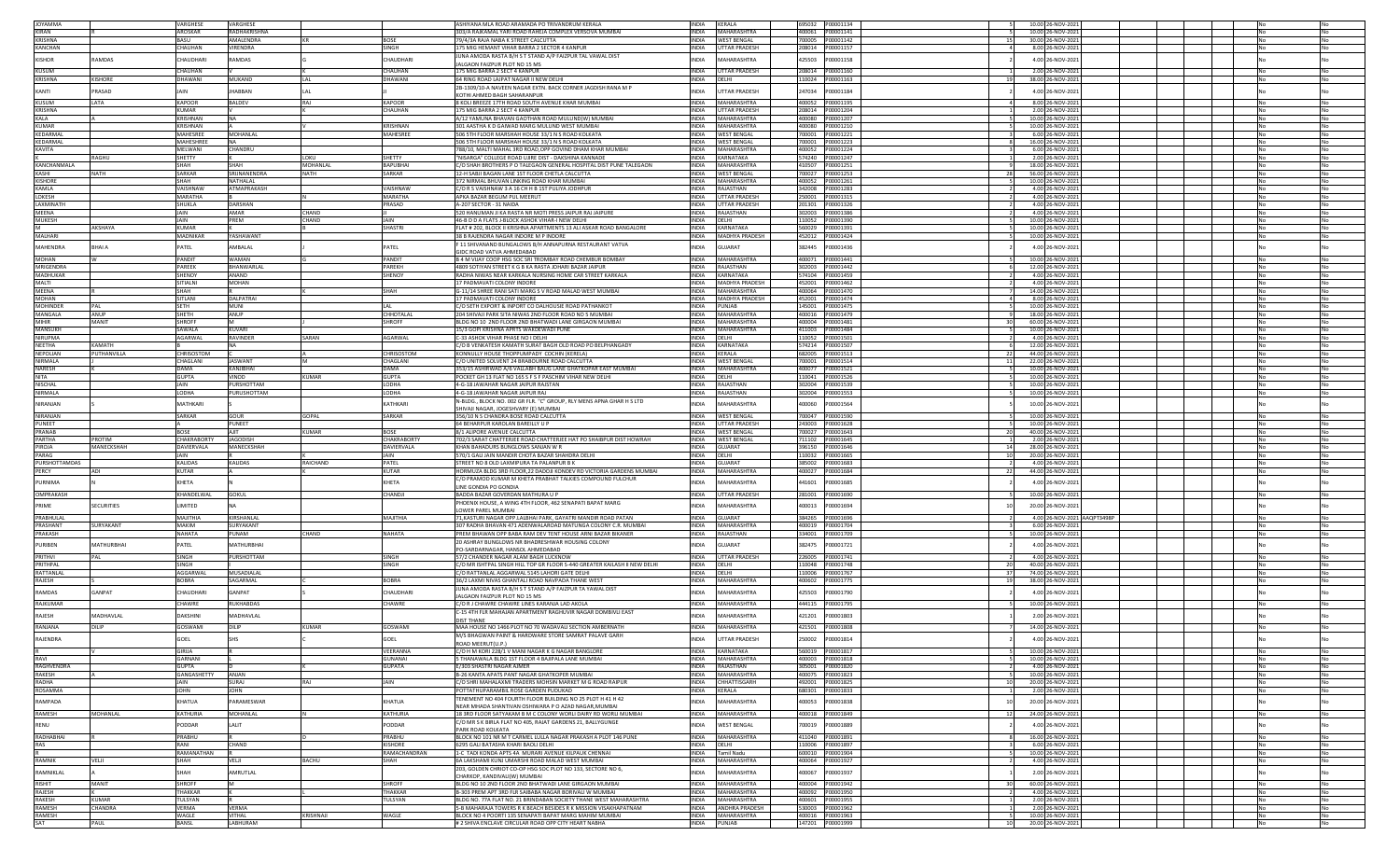| <b>JOYAMMA</b>         |                   | VARGHESE          | VARGHESE           |              |                 | ASHIYANA MLA ROAD ARAMADA PO TRIVANDRUM KERALA                                                |                              | INDIA KERALA             | 695032 P00001134                        |                 | 10.00 26-NOV-2021 |                             |  |  |            |           |
|------------------------|-------------------|-------------------|--------------------|--------------|-----------------|-----------------------------------------------------------------------------------------------|------------------------------|--------------------------|-----------------------------------------|-----------------|-------------------|-----------------------------|--|--|------------|-----------|
| KIRAN                  |                   | AROSKAR           | RADHAKRISHNA       |              |                 | 303/A RAJKAMAL YARI ROAD RAHEJA COMPLEX VERSOVA MUMBAI                                        |                              | INDIA MAHARASHTRA        |                                         |                 | 10.00 26-NOV-2021 |                             |  |  |            |           |
| <b>KRISHNA</b>         |                   | BASU              | AMALENDRA          |              | <b>BOSE</b>     | 79/4/3A RAJA NABA K STREET CALCUTTA                                                           |                              | INDIA WEST BENGAL        |                                         | 15              | 30.00 26-NOV-2021 |                             |  |  | No         | No        |
| <b>KANCHAN</b>         |                   | CHAUHAN           | <b>VIRENDRA</b>    |              | SINGH           | 175 MIG HEMANT VIHAR BARRA 2 SECTOR 4 KANPUR                                                  | <b>INDIA</b>                 | <b>UTTAR PRADESH</b>     | 208014 P00001157                        |                 | 8.00 26-NOV-2021  |                             |  |  |            | No        |
|                        |                   |                   |                    |              |                 | JUNA AMODA RASTA B/H S T STAND A/P FAIZPUR TAL VAWAL DIST                                     |                              |                          |                                         |                 |                   |                             |  |  |            |           |
| KISHOR                 | RAMDAS            | CHAUDHARI         | RAMDAS             |              | <b>HAUDHARI</b> |                                                                                               | NDIA                         | <b>AHARASHTRA</b>        | 425503<br>P00001158                     |                 | 4.00 26-NOV-2021  |                             |  |  |            |           |
| KUSUM                  |                   | CHAUHAN           |                    |              | CHAUHAN         | ALGAON FAIZPUR PLOT NO 15 MS<br>175 MIG BARRA 2 SECT 4 KANPUR                                 | <b>INDIA</b>                 | <b>UTTAR PRADESH</b>     |                                         |                 |                   |                             |  |  |            | No        |
| <b>KRISHNA</b>         | <b>KISHORE</b>    | DHAWANI           | <b>MUKAND</b>      | <b>LAL</b>   | <b>DHAWANI</b>  |                                                                                               | <b>INDIA</b>                 | DELHI                    | 110024 P00001163                        | 19              | 2.00 26-NOV-2021  |                             |  |  |            | No        |
|                        |                   |                   |                    |              |                 | 64 RING ROAD LAJPAT NAGAR II NEW DELHI                                                        |                              |                          |                                         |                 | 38.00 26-NOV-2021 |                             |  |  |            |           |
| KANTI                  | PRASAD            |                   | <b>HABBAN</b>      |              |                 | 2B-1309/10-A NAVEEN NAGAR EXTN. BACK CORNER JAGDISH RANA M P                                  | <b>INDIA</b>                 | UTTAR PRADESH            | 247034<br>00001184                      |                 | 4.00 26-NOV-2021  |                             |  |  |            |           |
|                        |                   |                   |                    |              |                 | KOTHI AHMED BAGH SAHARANPUR                                                                   |                              |                          |                                         |                 |                   |                             |  |  |            |           |
| <b>KUSUM</b>           | LATA              | KAPOOR            | BALDEV             | RAJ          | KAPOOR          | 8 KOLI BREEZE 17TH ROAD SOUTH AVENUE KHAR MUMBAI                                              |                              | INDIA MAHARASHTRA        | 400052 P00001195                        |                 | 8.00 26-NOV-2021  |                             |  |  |            | No        |
| KRISHNA                |                   | KUMAR             |                    |              | CHAUHAN         | 175 MIG BARRA 2 SECT 4 KANPUR                                                                 |                              | INDIA UTTAR PRADESH      | 208014 P00001204                        |                 | 2.00 26-NOV-2021  |                             |  |  | No         | No        |
| KALA                   |                   | <b>CRISHNAN</b>   | <b>NA</b>          |              |                 | A/12 YAMUNA BHAVAN GAOTHAN ROAD MULUND(W) MUMBAI                                              | <b>INDIA</b>                 | MAHARASHTRA              | 400080 P00001207                        |                 | 10.00 26-NOV-2021 |                             |  |  |            | No        |
| <b>KUMAR</b>           |                   | <b>CRISHNAN</b>   |                    |              | <b>CRISHNAN</b> | 301 AASTHA K D GAIWAD MARG MULUND WEST MUMBAI                                                 | <b>INDIA</b>                 | MAHARASHTRA              | 400080 P00001210                        |                 | 10.00 26-NOV-2021 |                             |  |  |            | No        |
| KEDARMAL               |                   | MAHESREE          | MOHANLAL           |              | MAHESREE        | 506 5TH FLOOR MARSHAH HOUSE 33/1 N S ROAD KOLKATA                                             | <b>INDIA</b>                 | <b>WEST BENGAL</b>       |                                         |                 | 6.00 26-NOV-2021  |                             |  |  |            |           |
| KFDARMAI               |                   | MAHESHREE         | <b>NA</b>          |              |                 | 506 5TH FLOOR MARSHAH HOUSE 33/1 N S ROAD KOLKATA                                             | <b>INDIA</b>                 | <b>WEST BENGAL</b>       |                                         |                 | 16.00 26-NOV-2021 |                             |  |  |            | No        |
| KAVITA                 |                   | MELWANI           | CHANDRU            |              |                 | 788/10, MALTI MAHAL 3RD ROAD, OPP GOVIND DHAM KHAR MUMBAI                                     | <b>INDIA</b>                 | MAHARASHTRA              | 400052 P00001224                        |                 | 6.00 26-NOV-2021  |                             |  |  |            | No        |
|                        | RAGHU             | SHETTY            |                    | LOKU         | SHETTY          | "NISARGA" COLLEGE ROAD UJIRE DIST - DAKSHINA KANNADE                                          | <b>INDIA</b>                 | KARNATAKA                | 574240 P00001247                        |                 | 2.00 26-NOV-2021  |                             |  |  |            | No        |
| KANCHANMALA            |                   | SHAH              | SHAH               | MOHANLAL     | <b>BAPUBHA</b>  | C/O SHAH BROTHERS P O TALEGAON GENERAL HOSPITAL DIST PUNE TALEGAON                            |                              | INDIA MAHARASHTRA        | 410507 P00001251                        |                 | 18.00 26-NOV-2021 |                             |  |  |            | No        |
| KASHI                  | <b>NATH</b>       | <b>SARKAR</b>     | SRIINANENDRA       | <b>NATH</b>  | SARKAR          | 12-H SABJI BAGAN LANE 1ST FLOOR CHETLA CALCUTTA                                               |                              | INDIA WEST BENGAL        | 700027 P00001253                        | - 28            | 56.00 26-NOV-2021 |                             |  |  | No         | No        |
| <b>KISHORE</b>         |                   | <b>SHAH</b>       | NATHALAL           |              |                 | 372 NIRMAL BHUVAN LINKING ROAD KHAR MUMBAI                                                    | INDIA                        | MAHARASHTRA              | 400052 P00001261                        |                 | 10.00 26-NOV-2021 |                             |  |  |            | No        |
| KAMLA                  |                   | <b>AISHNAW</b>    | ATMAPRAKASH        |              | /AISHNAW        | C/O R S VAISHNAW 3 A 16 CH H B 1ST PULIYA JODHPUR                                             | <b>INDIA</b>                 | RAJASTHAN                |                                         |                 | 4.00 26-NOV-2021  |                             |  |  |            | No        |
| LOKESH                 |                   | MARATHA           |                    |              | MARATHA         | APKA BAZAR BEGUM PUL MEERUT                                                                   | <b>INDIA</b>                 | <b>UTTAR PRADESH</b>     | 250001<br>P00001315                     |                 | 4.00 26-NOV-2021  |                             |  |  |            |           |
| <b>I AXMINATH</b>      |                   | SHUKLA            | DARSHAN            |              | PRASAD          | A-207 SECTOR - 31 NAIDA                                                                       | <b>INDIA</b>                 | UTTAR PRADESH            | 201301 P00001326                        |                 | 4.00 26-NOV-2021  |                             |  |  |            | <b>No</b> |
| MEENA                  |                   | <b>IAIN</b>       | AMAR               | CHAND        |                 | 520 HANUMAN JI KA RASTA NR MOTI PRESS JAIPUR RAJ JAIPURE                                      |                              | INDIA RAJASTHAN          | 302003<br>P00001386                     |                 | 4.00 26-NOV-2021  |                             |  |  |            | No        |
| MUKESH                 |                   | JAIN              | PREM               | CHAND        | <b>JAIN</b>     | 46-B D D A FLATS J-BLOCK ASHOK VIHAR-I NEW DELHI                                              | <b>INDIA</b>                 | DELHI                    | 110052<br>P00001390                     |                 | 10.00 26-NOV-2021 |                             |  |  |            | No        |
|                        | AKSHAYA           | KUMAR             |                    |              | SHASTRI         | FLAT # 202, BLOCK II KRISHNA APARTMENTS 13 ALI ASKAR ROAD BANGALORE                           | INDIA                        | KARNATAKA                |                                         |                 | 10.00 26-NOV-2021 |                             |  |  |            | No        |
| <b>MAI HARI</b>        |                   | MADNIKAR          | YASHAWANT          |              |                 | 38 B RAJENDRA NAGAR INDORE M P INDORE                                                         |                              | INDIA MADHYA PRADESH     | 452012 P00001424                        |                 | 10.00 26-NOV-2021 |                             |  |  |            | No        |
|                        |                   |                   |                    |              |                 | F 11 SHIVANAND BUNGALOWS B/H ANNAPURNA RESTAURANT VATVA                                       |                              |                          |                                         |                 |                   |                             |  |  |            |           |
| MAHENDRA               | <b>BHAIA</b>      | PATEL             | AMBALAL            |              | PATEL           | GIDC ROAD VATVA AHMEDABAD                                                                     | NDIA                         | <b>GUJARAT</b>           | 382445<br>P00001436                     |                 | 4.00 26-NOV-2021  |                             |  |  |            |           |
| MOHAN                  |                   | ANDI              | WAMAM              |              | <b>ANDIT</b>    | 3 4 M VIJAY COOP HSG SOC SRI TROMBAY ROAD CHEMBUR BOMBAY                                      | <b>NDIA</b>                  | <b>MAHARASHTRA</b>       | 400071<br>P00001441                     |                 | 10.00 26-NOV-2021 |                             |  |  |            |           |
| MRIGENDRA              |                   | PAREEK            | <b>RHANWARI AI</b> |              | PARFKH          | 4809 SOTIYAN STREET K G B KA RASTA JOHARI BAZAR JAIPUR                                        | <b>INDIA</b>                 | RAJASTHAN                | 302003<br>P00001442                     |                 | 12.00 26-NOV-2021 |                             |  |  |            | <b>No</b> |
| MADHUKAR               |                   | SHENOY            | ANAND              |              | SHENOY          | RADHA NIWAS NEAR KARKALA NURSING HOME CAR STREET KARKALA                                      | <b>INDIA</b>                 | KARNATAKA                | 574104<br>P00001459                     |                 | 4.00 26-NOV-2021  |                             |  |  |            | No        |
| MALTI                  |                   | SITIALNI          | <b>MOHAN</b>       |              |                 | 17 PADMAVATI COLONY INDORE                                                                    | <b>INDIA</b>                 | <b>MADHYA PRADESH</b>    | P00001462<br>452001                     |                 | 4.00 26-NOV-2021  |                             |  |  |            | No        |
| MEENA                  |                   | <b>SHAH</b>       |                    |              | SHAH            | G-11/14 SHREE RANI SATI MARG S V ROAD MALAD WEST MUMBAI                                       | <b>INDIA</b>                 | MAHARASHTRA              | 400064 P00001470                        |                 | 14.00 26-NOV-2021 |                             |  |  |            | No        |
| <b>MOHAN</b>           |                   | <b>SITLANI</b>    | <b>DALPATRAI</b>   |              |                 |                                                                                               |                              |                          |                                         |                 |                   |                             |  |  |            |           |
|                        |                   |                   |                    |              |                 | I7 PADMAVATI COLONY INDORE                                                                    |                              | INDIA MADHYA PRADESH     | 452001 P00001474                        |                 | 8.00 26-NOV-2021  |                             |  |  |            | No        |
| <b>MOHINDER</b>        | PAL               | <b>SFTH</b>       | <b>MUNI</b>        |              |                 | C/O SETH EXPORT & INPORT CO DALHOUSIE ROAD PATHANKOT                                          |                              | INDIA PUNJAB             | 145001 P00001475                        |                 | 10.00 26-NOV-2021 |                             |  |  |            | No        |
| MANGALA                | ANUP              | SHETH             | ANUP               |              | <b>HHOTALAL</b> | 204 SHIVAJI PARK SITA NIWAS 2ND FLOOR ROAD NO 5 MUMBAI                                        | INDIA                        | MAHARASHTRA              |                                         |                 | 18.00 26-NOV-2021 |                             |  |  |            |           |
| <b>MIHIR</b>           | MANIT             | <b>HROFF</b>      |                    |              | <b>HROFF</b>    | BLDG NO 10 2ND FLOOR 2ND BHATWADI LANE GIRGAON MUMBAI                                         | <b>INDIA</b>                 | MAHARASHTRA              |                                         |                 | 60.00 26-NOV-2021 |                             |  |  |            |           |
| MANSUKH                |                   | <b>SAWALA</b>     | KUVARI             |              |                 | 5/3 GOPI KRISHNA APRTS WAKDEWADI PUNE                                                         | <b>INDIA</b>                 | MAHARASHTRA              |                                         |                 | 10.00 26-NOV-2021 |                             |  |  |            | No        |
| NIRUPMA                |                   | AGARWAI           | <b>RAVINDER</b>    | SARAN        | AGARWAI         | C-33 ASHOK VIHAR PHASE NO I DELHI                                                             | <b>INDIA</b>                 | DELHI                    | 110052<br>P00001501                     |                 | 4.00 26-NOV-2021  |                             |  |  |            | <b>No</b> |
| <b>NEETHA</b>          | KAMATH            |                   | NA                 |              |                 | C/O B VENKATESH KAMATH SURAT BAGH OLD ROAD PO BELPHANGADY                                     | <b>INDIA</b>                 | KARNATAKA                |                                         |                 | 12.00 26-NOV-2021 |                             |  |  |            | No        |
| NEPOLIAN               | PUTHANVILLA       | <b>CHRISOSTOM</b> |                    |              | CHRISOSTOM      | KONNULLY HOUSE THOPPUMPADY COCHIN (KERELA)                                                    | <b>INDIA</b>                 | KERALA                   |                                         | - 22            | 44.00 26-NOV-2021 |                             |  |  |            | No        |
| <b>NIRMALA</b>         |                   | CHAGLANI          | <b>JASWANT</b>     |              | CHAGLANI        | C/O UNITED SOLVENT 24 BRABOURNE ROAD CALCUTTA                                                 |                              | INDIA WEST BENGAL        |                                         | 11              | 22.00 26-NOV-2021 |                             |  |  |            | No        |
| <b>NARFSH</b>          |                   | DAMA              | KANJIBHAI          |              | <b>DAMA</b>     | 353/15 ASHIRWAD A/6 VALLABH BAUG LANE GHATKOPAR EAST MUMBAI                                   |                              | INDIA MAHARASHTRA        | 400077 P00001521                        |                 | 10.00 26-NOV-2021 |                             |  |  |            | No        |
| <b>NITA</b>            |                   | <b>GUPTA</b>      | VINOD              | <b>KUMAR</b> | <b>GUPTA</b>    | POCKET GH 13 FLAT NO 165 S F S F PASCHIM VIHAR NEW DELHI                                      | INDIA DELHI                  |                          | 110041 P00001526                        |                 | 10.00 26-NOV-2021 |                             |  |  |            | No        |
| NISCHAL                |                   | AIN               | PURSHOTTAM         |              | LODHA           | 4-G-18 JAWAHAR NAGAR JAIPUR RAJSTAN                                                           | <b>INDIA</b>                 | RAJASTHAN                |                                         |                 | 10.00 26-NOV-2021 |                             |  |  |            |           |
| NIRMALA                |                   | AHOO.             | PURUSHOTTAM        |              | LODHA           | 4-G-18 JAWAHAR NAGAR JAIPUR RAJ                                                               | INDIA                        | RAJASTHAN                | 302004<br>P00001553                     |                 | 10.00 26-NOV-2021 |                             |  |  |            |           |
| NIRANJAN               |                   | MATHKARI          |                    |              | KATHKARI        | N-BLDG., BLOCK NO. 002 GR FLR. "C" GROUP, RLY MENS APNA GHAR H S LTD                          | INDIA                        | MAHARASHTRA              | 400060<br>P00001564                     |                 | 10.00 26-NOV-2021 |                             |  |  |            |           |
|                        |                   |                   |                    |              |                 | SHIVAJI NAGAR. JOGESHVARY (E) MUMBAI                                                          |                              |                          |                                         |                 |                   |                             |  |  |            |           |
| NIRANJAN               |                   | SARKAR            | GOUR               | <b>GOPAL</b> | SARKAR          | 356/10 N S CHANDRA BOSE ROAD CALCUTTA                                                         | <b>INDIA</b>                 | <b>WEST BENGAL</b>       |                                         |                 | 10.00 26-NOV-2021 |                             |  |  |            | No        |
|                        |                   |                   |                    |              |                 |                                                                                               |                              |                          |                                         |                 |                   |                             |  |  |            |           |
| PUNEET                 |                   |                   | PUNEET             |              |                 | 64 BEHARPUR KAROLAN BAREILLY U P                                                              |                              | INDIA UTTAR PRADESH      | 243003 P00001628                        |                 | 10.00 26-NOV-2021 |                             |  |  |            | No        |
| PRANAR                 |                   | <b>BOSE</b>       | AIIT               | <b>KUMAR</b> | <b>BOSE</b>     | 8/1 ALIPORE AVENUE CALCUTTA                                                                   |                              | INDIA WEST BENGAL        | 700027 P00001643                        | 20              | 40.00 26-NOV-2021 |                             |  |  |            | No        |
| PARTHA                 | PROTIM            | CHAKRABORTY       | <b>JAGODISH</b>    |              | CHAKRABORTY     | 702/3 SARAT CHATTERJEE ROAD CHATTERJEE HAT PO SHAIBPUR DIST HOWRAH                            | <b>INDIA</b>                 | <b>WEST BENGAL</b>       |                                         |                 | 2.00 26-NOV-2021  |                             |  |  |            | No        |
| PIROJA                 | MANECKSHAF        | DAVIERVALA        | MANECKSHAH         |              | DAVIERVALA      | KHAN BAHADURS BUNGLOWS SANJAN W R                                                             | INDIA                        | <b>GUJARAT</b>           | 396150 P00001646                        | -14             | 28.00 26-NOV-2021 |                             |  |  |            |           |
| PARAG                  |                   |                   |                    |              | JAIN            |                                                                                               | <b>INDIA</b>                 | <b>DELHI</b>             |                                         |                 |                   |                             |  |  |            |           |
|                        |                   |                   |                    |              |                 | 570/1 GALI JAIN MANDIR CHOTA BAZAR SHAHDRA DELHI<br>STREET NO 8 OLD LAXMIPURA TA PALANPUR B K |                              |                          | 110032 P00001665                        |                 | 20.00 26-NOV-2021 |                             |  |  |            |           |
| PURSHOTTAMDAS<br>PERCY | ADI               | KALIDAS<br>KUTAR  | KALIDAS            | RAICHAND     | PATEL<br>KUTAR  |                                                                                               | <b>INDIA</b><br><b>INDIA</b> | <b>GUJARAT</b>           | 400027 P00001684                        | 22              | 4.00 26-NOV-2021  |                             |  |  |            | No        |
|                        |                   |                   |                    |              |                 | HORMUZA BLDG 3RD FLOOR, 22 DADOJI KONDEV RD VICTORIA GARDENS MUMBAI                           |                              | MAHARASHTRA              |                                         |                 | 44.00 26-NOV-2021 |                             |  |  |            |           |
| PURNIMA                |                   | KHETA             |                    |              | <b>CHETA</b>    | C/O PRAMOD KUMAR M KHETA PRABHAT TALKIES COMPOUND FULCHUR                                     | <b>NDIA</b>                  | <b>MAHARASHTRA</b>       | 441601<br>00001685                      |                 | 4.00 26-NOV-2021  |                             |  |  |            |           |
|                        |                   |                   |                    |              |                 | LINE GONDIA PO GONDIA                                                                         |                              |                          |                                         |                 |                   |                             |  |  |            |           |
| OMPRAKASH              |                   | KHANDELWAL        | <b>GOKUL</b>       |              | CHANDJI         | BADDA BAZAR GOVERDAN MATHURA U P                                                              | <b>INDIA</b>                 | UTTAR PRADESH            |                                         |                 | 10.00 26-NOV-2021 |                             |  |  |            |           |
| PRIME                  | <b>SECURITIES</b> | <b>IMITED</b>     |                    |              |                 | PHOENIX HOUSE, A WING 4TH FLOOR, 462 SENAPATI BAPAT MARG                                      | <b>INDIA</b>                 | <b>MAHARASHTRA</b>       | 400013<br>P00001694                     |                 | 20.00 26-NOV-2021 |                             |  |  |            |           |
|                        |                   |                   |                    |              |                 | OWER PAREL MUMBAI                                                                             |                              |                          |                                         |                 |                   |                             |  |  |            |           |
| PRABHULAL              |                   | AIHTILAM          | KIRSHANLAL         |              | MAJITHIA        | 1,KASTURI NAGAR OPP.LALBHAI PARK, GAYATRI MANDIR ROAD PATAN                                   | <b>NDIA</b>                  | <b>GUJARAT</b>           | 384265<br>P00001696                     |                 |                   | 4.00 26-NOV-2021 AAQPT3498P |  |  |            |           |
| PRASHANT<br>PRAKASH    | SURYAKANT         | MAKIM<br>NAHATA   | SURYAKANT<br>PUNAM | CHAND        | <b>NAHATA</b>   | 307 RADHA BHAVAN 471 ADENWALAROAD MATUNGA COLONY C.R. MUMBAI                                  | <b>INDIA</b><br>INDIA        | MAHARASHTRA<br>RAJASTHAN | 400019<br>P00001704<br>334001 P00001709 |                 | 6.00 26-NOV-2021  |                             |  |  |            | No        |
|                        |                   |                   |                    |              |                 | PREM BHAWAN OPP BABA RAM DEV TENT HOUSE ARNI BAZAR BIKANER                                    |                              |                          |                                         |                 | 10.00 26-NOV-2021 |                             |  |  |            |           |
| PURIBEN                | <b>MATHURBHAI</b> | PATEL             | MATHURBHAI         |              |                 | 20 ASHRAY BUNGLOWS NR BHADRESHWAR HOUSING COLONY                                              | <b>INDIA</b>                 | <b>GUJARAT</b>           | 382475<br>P00001721                     |                 | 4.00 26-NOV-2021  |                             |  |  |            |           |
|                        |                   |                   |                    |              |                 | PO-SARDARNAGAR, HANSOL AHMEDABAD                                                              |                              |                          |                                         |                 |                   |                             |  |  |            |           |
| PRITHVI                | PAL               | SINGH             | PURSHOTTAM         |              | SINGH           | 57/2 CHANDER NAGAR ALAM BAGH LUCKNOW                                                          | <b>INDIA</b>                 | <b>UTTAR PRADESH</b>     | 226005<br>P00001741                     |                 | 4.00 26-NOV-2021  |                             |  |  |            |           |
| PRITHPAL               |                   | SINGH             |                    |              | SINGH           | C/O MR ISHTPAL SINGH HILL TOP GR FLOOR S-440 GREATER KAILASH II NEW DELHI                     | INDIA DELHI                  |                          | 110048 P00001748                        | - 20            | 40.00 26-NOV-2021 |                             |  |  |            | No        |
| RATTANLAL              |                   | AGGARWAL          | MUSADIALAL         |              |                 | C/O RATTANLAL AGGARWAL 5145 LAHORI GATE DELHI                                                 | INDIA DELHI                  |                          | 110006 P00001767                        | -37             | 74.00 26-NOV-2021 |                             |  |  |            | No        |
| RAJESH                 |                   | <b>BOBRA</b>      | SAGARMAL           |              | <b>BOBRA</b>    | 36/2 LAXMI NIVAS GHANTALI ROAD NAVPADA THANE WES                                              | <b>INDIA</b>                 | MAHARASHTRA              | 400602<br>P00001775                     | 19              | 38.00 26-NOV-2021 |                             |  |  |            |           |
| RAMDAS                 | GANPAT            | CHAUDHARI         | GANPAT             |              | <b>HAUDHARI</b> | UNA AMODA RASTA B/H S T STAND A/P FAIZPUR TA YAWAL DIST                                       | <b>NDIA</b>                  | MAHARASHTRA              | 425503<br>00001790                      |                 | 4.00 26-NOV-2021  |                             |  |  |            |           |
|                        |                   |                   |                    |              |                 | JALGAON FAIZPUR PLOT NO 15 MS                                                                 |                              |                          |                                         |                 |                   |                             |  |  |            |           |
| <b>RAJKUMAR</b>        |                   | CHAWRE            | <b>RUKHABDAS</b>   |              | CHAWRE          | C/O R J CHAWRE CHAWRE LINES KARANJA LAD AKOLA                                                 | <b>INDIA</b>                 | MAHARASHTRA              | P00001795<br>444115                     |                 | 10.00 26-NOV-2021 |                             |  |  |            | <b>No</b> |
| RAJESH                 | MADHAVLAI         | DAKSHINI          | MADHAVLAL          |              |                 | C-15 4TH FLR MAHAJAN APARTMENT RAGHUVIR NAGAR DOMBIVLI EAST                                   | <b>NDIA</b>                  | <b>MAHARASHTRA</b>       | 421201<br>200001803                     |                 | 2.00 26-NOV-2021  |                             |  |  |            |           |
|                        |                   |                   |                    |              |                 | <b>DIST THANE</b>                                                                             |                              |                          |                                         |                 |                   |                             |  |  |            |           |
| RANJANA                | DILIP             | <b>GOSWAMI</b>    | DILIP              | KUMAR        | GOSWAMI         | MAA HOUSE NO 1466 PLOT NO 70 WADAVALI SECTION AMBERNATH                                       | <b>INDIA</b>                 | MAHARASHTRA              | 421501<br>P00001808                     |                 | 14.00 26-NOV-2021 |                             |  |  |            |           |
| RAJENDRA               |                   | SOFI              |                    |              | <b>GOFI</b>     | M/S BHAGWAN PAINT & HARDWARE STORE SAMRAT PALAVE GARH                                         | NDIA                         | UTTAR PRADESH            | 250002<br>P00001814                     |                 | 4.00 26-NOV-2021  |                             |  |  |            |           |
|                        |                   |                   |                    |              |                 | ROAD MEERUT(U.F                                                                               |                              |                          |                                         |                 |                   |                             |  |  |            |           |
|                        |                   | <b>GIRIJA</b>     |                    |              | VEERANNA        | C/O H M KORI 228/1 V MANI NAGAR K G NAGAR BANGLORE                                            |                              | INDIA KARNATAKA          |                                         |                 | 10.00 26-NOV-2021 |                             |  |  |            |           |
| RAVI                   |                   | GARNANI           |                    |              | GUNANAI         | THANAWALA BLDG 1ST FLOOR 4 BAJIPALA LANE MUMBAI                                               |                              | INDIA MAHARASHTRA        |                                         |                 | 10.00 26-NOV-2021 |                             |  |  |            | No        |
| <b>RAGHVENDRA</b>      |                   | GUPTA             |                    |              | GUPATA          | F/303 SHASTRI NAGAR AIMER                                                                     |                              | INDIA RAJASTHAN          |                                         |                 | 4.00 26-NOV-2021  |                             |  |  | No         | No        |
| RAKESH                 |                   | GANGASHETTY       | ANJAN              |              |                 | <b>B-26 KANTA APATS PANT NAGAR GHATKOPER MUMBAL</b>                                           |                              | INDIA MAHARASHTRA        | 400075 P00001823                        |                 | 10.00 26-NOV-2021 |                             |  |  | <b>No</b>  | No        |
| <b>RADHA</b>           |                   | JAIN              | SURAJ              | RAJ          | <b>JAIN</b>     | C/O SHRI MAHALAXMI TRADERS MOHSIN MARKET M G ROAD RAIPUR                                      |                              | INDIA CHHATTISGARH       | 492001 P00001825                        | 10              | 20.00 26-NOV-2021 |                             |  |  |            | No        |
| <b>ROSAMMA</b>         |                   | OHN               | <b>JOHN</b>        |              |                 | POTTATHUPARAMBIL ROSE GARDEN PUDUKAD                                                          |                              | INDIA KERALA             | 680301 P00001833                        |                 | 2.00 26-NOV-2021  |                             |  |  |            | No        |
| RAMPADA                |                   |                   |                    |              |                 | TENEMENT NO 404 FOURTH FLOOR BUILDING NO 25 PLOT H 41 H 42                                    | <b>INDIA</b>                 |                          |                                         | 10              |                   |                             |  |  |            |           |
|                        |                   | KHATUA            | PARAMESWAR         |              | KHATUA          | NEAR MHADA SHANTIVAN OSHIWARA P O AZAD NAGAR, MUMBAI                                          |                              | MAHARASHTRA              | 400053<br>P00001838                     |                 | 20.00 26-NOV-2021 |                             |  |  |            |           |
| RAMESH                 | MOHANLAL          | KATHURIA          | MOHANLAL           |              | KATHURIA        | 18 3RD FLOOR SATYAKAM B M C COLONY WORLI DAIRY RD WORLI MUMBAI                                | <b>INDIA</b>                 | MAHARASHTRA              |                                         |                 | 24.00 26-NOV-2021 |                             |  |  |            |           |
|                        |                   |                   |                    |              |                 | C/O MR S K BIRLA FLAT NO 405, RAJAT GARDENS 21, BALLYGUNGE                                    |                              |                          |                                         |                 |                   |                             |  |  |            |           |
| RENU                   |                   | PODDAR            | LALIT              |              | PODDAR          | PARK ROAD KOLKATA                                                                             | <b>INDIA</b>                 | <b>WEST BENGAL</b>       | 700019<br>P00001889                     |                 | 4.00 26-NOV-2021  |                             |  |  |            |           |
| RADHABHAI              |                   | PRABHU            |                    |              | PRABHU          | BLOCK NO 101 NR M T CARMEL LULLA NAGAR PRAKASH A PLOT 146 PUNE                                |                              | INDIA MAHARASHTRA        | 411040 P00001891                        |                 | 16.00 26-NOV-2021 |                             |  |  | <b>INo</b> | No.       |
| RAS                    |                   | RANI              | CHAND              |              | KISHORE         | 6295 GALI BATASHA KHARI BAOLI DELHI                                                           | INDIA DELHI                  |                          | 110006 P00001897                        |                 | 6.00 26-NOV-2021  |                             |  |  | No         | No        |
|                        |                   | RAMANATHAN        |                    |              | RAMACHANDRAN    | 1-C TADI KONDA APTS 4A MURARI AVENUE KILPAUK CHENNAI                                          |                              | INDIA Tamil Nadu         | 600010 P00001904                        |                 | 10.00 26-NOV-2021 |                             |  |  |            | No        |
| RAMNIK                 | VELJI             | SHAH              | VELJI              | <b>BACHU</b> | <b>SHAH</b>     | 6A LAKSHAMI KUNJ UMARSHI ROAD MALAD WEST MUMBAI                                               |                              | INDIA MAHARASHTRA        | 400064 P00001927                        |                 | 4.00 26-NOV-2021  |                             |  |  | No         | No        |
|                        |                   |                   |                    |              |                 | 203, GOLDEN CHRIOT CO-OP HSG SOC PLOT NO 133, SECTORE NO 6,                                   |                              |                          |                                         |                 |                   |                             |  |  |            |           |
| RAMNIKLAL              |                   | SHAH              | AMRUTLAL           |              |                 | CHARKOP, KANDIVALI(W) MUMBAI                                                                  | <b>INDIA</b>                 | MAHARASHTRA              | 400067<br>P00001937                     |                 | 2.00 26-NOV-2021  |                             |  |  |            |           |
| <b>RISHIT</b>          | MANIT             | SHROFF            |                    |              | SHROFF          | BLDG NO 10 2ND FLOOR 2ND BHATWADI LANE GIRGAON MUMBAI                                         |                              | INDIA MAHARASHTRA        | 400004 P00001942                        | 30 <sup>1</sup> | 60.00 26-NOV-2021 |                             |  |  |            |           |
| RAJESH                 |                   | THAKKAR           |                    |              | <b>THAKKAR</b>  | B-303 PREM APT 3RD FLR SAIBABA NAGAR BORIVALI W MUMBAI                                        |                              | INDIA MAHARASHTRA        | 400092 P00001950                        |                 | 4.00 26-NOV-2021  |                             |  |  |            | No        |
| <b>RAKESH</b>          | <b>KUMAR</b>      | TULSYAN           |                    |              | TULSYAN         | BLDG NO. 77A FLAT NO. 21 BRINDABAN SOCIETY THANE WEST MAHARASHTRA                             |                              | INDIA MAHARASHTRA        | 400601 P00001955                        |                 | 2.00 26-NOV-2021  |                             |  |  | <b>INo</b> | <b>No</b> |
| RAMESH                 | CHANDRA           | VERMA             | VERMA              |              |                 | 5-B MAHARAJA TOWERS R K BEACH BESIDES R K MISSION VISAKHAPATNAM                               |                              | INDIA ANDHRA PRADESH     |                                         |                 | 2.00 26-NOV-2021  |                             |  |  | <b>No</b>  | No        |
| RAMESH                 |                   | WAGLE             | VITHAL             | KRISHNAJI    | WAGLE           | BLOCK NO 4 POORTI 135 SENAPATI BAPAT MARG MAHIM MUMBAI                                        |                              | INDIA MAHARASHTRA        | 400016 P00001963                        |                 | 10.00 26-NOV-2021 |                             |  |  |            | No        |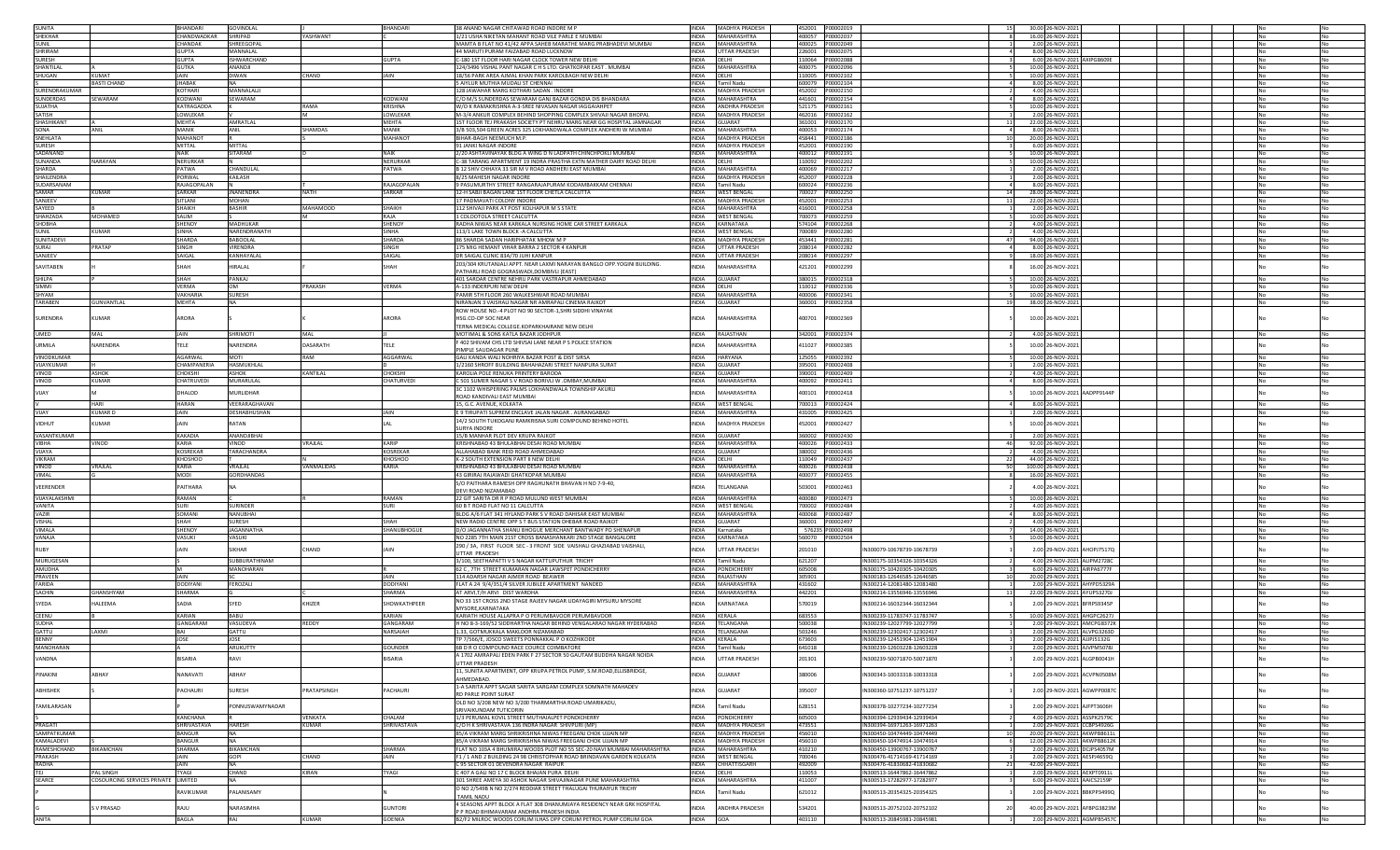|                            |                                     | <b>BHANDARI</b>       | GOVINDLAL          |                  | <b>BHANDAR</b>                  | 38 ANAND NAGAR CHITAWAD ROAD INDORE M P                                                                       |                              | INDIA MADHYA PRADESH      | 452001 P00002019                     |           |                                                          | 30.00 26-NOV-202:                                           |     |
|----------------------------|-------------------------------------|-----------------------|--------------------|------------------|---------------------------------|---------------------------------------------------------------------------------------------------------------|------------------------------|---------------------------|--------------------------------------|-----------|----------------------------------------------------------|-------------------------------------------------------------|-----|
| SUNITA<br>SHEKHAR          |                                     | CHANDWADKAR           | SHRIPAD            | YASHWANT         |                                 | 1/21 USHA NIKETAN MAHANT ROAD VILE PARLE E MUMBAI                                                             |                              | INDIA MAHARASHTRA         | 400057 P00002037                     |           |                                                          | 16.00 26-NOV-202                                            |     |
| SUNIL                      |                                     | <b><i>CHANDAK</i></b> | SHREEGOPAI         |                  |                                 | MAMTA B FLAT NO 41/42 APPA SAHEB MARATHE MARG PRABHADEVI MUMBAI                                               |                              | INDIA MAHARASHTRA         | 400025 P00002049                     |           |                                                          | 2.00 26-NOV-2021                                            |     |
| SHRIRAM                    |                                     | <b>GUPTA</b>          | MANNALAL           |                  |                                 | 44 MARUTI PURAM FAIZABAD ROAD LUCKNOW                                                                         | <b>INDIA</b>                 | UTTAR PRADESH             | 226001 P00002075                     |           |                                                          | 8.00 26-NOV-2021                                            | No  |
| SURESH                     |                                     | GUPTA                 | SHWARCHAND         |                  | <b>GUPTA</b>                    | -180 1ST FLOOR HARI NAGAR CLOCK TOWER NEW DELHI                                                               | INDIA                        | DELHI                     |                                      |           |                                                          | 6.00 26-NOV-2021 AXIPG8609E                                 |     |
| SHANTILAL                  |                                     | GUTKA                 | ANANDJI            |                  |                                 | 24/3496 VISHAL PANT NAGAR C H S LTD, GHATKOPAR EAST, MUMBAI                                                   | <b>INDIA</b>                 | MAHARASHTRA               | 400075                               | P00002096 |                                                          | 10.00 26-NOV-202                                            | No  |
| SHUGAN                     | KUMAT                               | <b>JAIN</b>           | DIWAN              | <b>HAND</b>      | IAIN                            | 18/56 PARK AREA AJMAL KHAN PARK KAROLBAGH NEW DELHI                                                           | <b>INDIA</b>                 | DELHI                     | 110005                               | P00002102 |                                                          | 10.00 26-NOV-202                                            | No  |
|                            | <b>BASTI CHAND</b>                  | <b>JHABAK</b>         |                    |                  |                                 | 5 AIYLUR MUTHIA MUDALI ST CHENNA                                                                              | <b>INDIA</b>                 | Tamil Nadu                | 600079 P00002104                     |           |                                                          | 8.00 26-NOV-202:                                            | No  |
| SURENDRAKUMAR              |                                     | KOTHARI               | MANNALALII         |                  |                                 | 128 JAWAHAR MARG KOTHARI SADAN. INDORE                                                                        | <b>INDIA</b>                 | MADHYA PRADESH            | 452002 P00002150                     |           |                                                          | 4.00 26-NOV-2021                                            | No  |
| SUNDERDAS                  | SEWARAM                             | KODWANI               | SEWARAM            |                  | KODWANI                         | C/O M/S SUNDERDAS SEWARAM GANJ BAZAR GONDIA DIS BHANDARA                                                      | INDIA                        | MAHARASHTRA               | 441601 P00002154                     |           |                                                          | 8.00 26-NOV-2021                                            | No  |
| SUIATHA                    |                                     | KATRAGADDA            |                    | RAMA             | KRISHNA                         | W/O K RAMAKRISHNA A-3-SRFF NIVASAN NAGAR IAGGAIAHPFT                                                          | <b>INDIA</b>                 | <b>ANDHRA PRADESH</b>     |                                      |           |                                                          | 10.00 26-NOV-2021                                           | No  |
| SATISH                     |                                     | LOWLEKAR              |                    |                  | LOWLEKAR                        | M-3/4 ANKUR COMPLEX BEHIND SHOPPING COMPLEX SHIVAILNAGAR BHOPAL                                               | <b>INDIA</b>                 | MADHYA PRADESH            |                                      |           |                                                          | 2.00 26-NOV-2021                                            | No  |
| SHASHIKANT                 |                                     | MEHTA                 | AMRATLAL           |                  | <b>MEHTA</b>                    | ST FLOOR TEJ PRAKASH SOCIETY PT NEHRU MARG NEAR GG HOSPITAL JAMNAGAR                                          | <b>INDIA</b>                 | GUJARAT                   | 361001                               | P00002170 |                                                          | 22.00 26-NOV-202                                            | No  |
| SONA                       | ANIL                                | MANIK                 |                    | <b>HAMDAS</b>    | MANIK                           | 3/B 503,504 GREEN ACRES 325 LOKHANDWALA COMPLEX ANDHERI W MUMBAI                                              | <b>INDIA</b>                 | MAHARASHTRA               | 400053 P00002174                     |           |                                                          | 8.00 26-NOV-202                                             | No  |
| SNEHLATA                   |                                     | MAHANOT               | ANIL               |                  | <b>MAHANOT</b>                  | BIHAR-BAGH NEEMUCH M.P.                                                                                       | <b>INDIA</b>                 | MADHYA PRADESH            | 458441                               | P00002186 |                                                          | 20.00 26-NOV-2021                                           | No  |
| <b>SURESH</b>              |                                     | MITTAL                | MITTAL             |                  |                                 | 91 JANKI NAGAR INDORE                                                                                         | <b>INDIA</b>                 | <b>MADHYA PRADESH</b>     |                                      |           |                                                          | 6.00 26-NOV-2021                                            | No  |
|                            |                                     |                       |                    |                  |                                 |                                                                                                               |                              |                           |                                      |           |                                                          |                                                             |     |
| SADANAND                   |                                     | NAIK                  | SITARAM            |                  | <b>NAIK</b>                     | 2/20 ASHTAVINAYAK BLDG A WING D N LADPATH CHINCHPOKLI MUMBAI                                                  | <b>INDIA</b>                 | MAHARASHTRA               | 400012 P00002191                     |           |                                                          | 10.00 26-NOV-2021                                           | No  |
| SUNANDA                    | NARAYAN                             | <b>NERURKAR</b>       |                    |                  | NERURKAR                        | C-38 TARANG APARTMENT 19 INDRA PRASTHA EXTN MATHER DAIRY ROAD DELHI                                           | <b>INDIA</b>                 | DELHI                     | 110092 P00002202                     |           |                                                          | 10.00 26-NOV-2021                                           | No  |
| SHARDA                     |                                     | PATWA                 | CHANDUI AI         |                  | PATWA                           | B 12 SHIV CHHAYA 33 SIR M V ROAD ANDHERI EAST MUMBAI                                                          | <b>INDIA</b>                 | MAHARASHTRA               |                                      |           |                                                          | 2.00 26-NOV-2021                                            | No  |
| SHAILENDRA                 |                                     | PORWAL                | KAILASH            |                  |                                 | 8/25 MAHESH NAGAR INDORE                                                                                      | <b>INDIA</b>                 | MADHYA PRADESH            | 452007 P00002228                     |           |                                                          | 2.00 26-NOV-2021                                            | No  |
| SUDARSANAM                 |                                     | RAJAGOPALAN           |                    |                  | RAJAGOPALAN                     | FASUMURTHY STREET RANGARAJAPURAM KODAMBAKKAM CHENNAI                                                          | <b>INDIA</b>                 | Tamil Nadu                | 600024 P00002236                     |           |                                                          | 8.00 26-NOV-202                                             | No  |
| SAMAR                      | KUMAR                               | <b>SARKAR</b>         | <b>JNANENDRA</b>   | <b>NATH</b>      | SARKAR                          | 12-H SABJI BAGAN LANE 1ST FLOOR CHETLA CALCUTTA                                                               | <b>INDIA</b>                 | <b>WEST BENGAL</b>        | 700027                               | P00002250 |                                                          | 28.00 26-NOV-202:                                           |     |
| SANJEEV                    |                                     | SITLANI               | MOHAN              |                  |                                 | 17 PADMAVATI COLONY INDORE                                                                                    | <b>INDIA</b>                 | <b>MADHYA PRADESH</b>     | 452001                               | P00002253 | 11                                                       | 22.00 26-NOV-2021                                           | No  |
| SAYEED                     |                                     | <b>SHAIKH</b>         | <b>BASHIR</b>      | MAHAMOOD         | SHAIKH                          | 112 SHIVAJI PARK AT POST KOLHAPUR M S STATE                                                                   | <b>INDIA</b>                 | MAHARASHTRA               | 416001                               | P00002258 |                                                          | 2.00 26-NOV-2021                                            | No  |
| SHAHZADA                   | MOHAMED                             | SALIM                 |                    |                  | RAJA                            | 1 COLOOTOLA STREET CALCUTTA                                                                                   | <b>INDIA</b>                 | <b>WEST BENGAL</b>        | 700073 P00002259                     |           |                                                          | 10.00 26-NOV-2021                                           | No  |
| SHOBHA                     |                                     | SHENOY                | MADHUKAR           |                  | SHENOY                          | RADHA NIWAS NEAR KARKALA NURSING HOME CAR STREET KARKALA                                                      | <b>INDIA</b>                 | KARNATAKA                 | 574104 P00002268                     |           |                                                          | 4.00 26-NOV-2021                                            | No  |
| SUNIL                      | <b>KUMAR</b>                        | SINHA                 | NARENDRANATH       |                  | SINHA                           | 113/1 LAKE TOWN BLOCK - A CALCUTTA                                                                            | <b>INDIA</b>                 | <b>WEST BENGAL</b>        |                                      |           |                                                          | 4.00 26-NOV-2021                                            | No  |
| SUNITADEVI                 |                                     | SHARDA                | <b>BABOOLAL</b>    |                  | SHARDA                          | 86 SHARDA SADAN HARIPHATAK MHOW M P                                                                           |                              | INDIA MADHYA PRADESH      | 453441 P00002281                     |           | 47                                                       | 94.00 26-NOV-202:                                           | No  |
| SURAJ                      | PRATAP                              | SINGH                 | <b>/IRENDRA</b>    |                  | SINGH                           | 175 MIG HEMANT VIHAR BARRA 2 SECTOR 4 KANPUR                                                                  | <b>INDIA</b>                 | UTTAR PRADESH             | 208014 P00002282                     |           |                                                          | 8.00 26-NOV-202                                             | No  |
| SANJEEV                    |                                     | SAIGAL                | <b>CANHAYALAI</b>  |                  | SAIGAL                          | DR SAIGAL CLINIC 83A/70 JUHI KANPUR                                                                           | <b>INDIA</b>                 | <b>JTTAR PRADESH</b>      | 208014                               | P00002297 |                                                          | 18.00 26-NOV-2021                                           | No  |
|                            |                                     |                       |                    |                  |                                 | 203/304 KRUTANJALI APPT. NEAR LAXMI NARAYAN BANGLO OPP.YOGINI BUILDING.                                       |                              |                           |                                      |           |                                                          |                                                             |     |
| SAVITABEN                  |                                     | SHAH                  | HIRALAL            |                  | SHAH                            | PATHARLI ROAD GOGRASWADI, DOMBIVLI (EAST)                                                                     | <b>INDIA</b>                 | <b>IAHARASHTRA</b>        | 421201                               | P00002299 |                                                          | 16.00 26-NOV-2021                                           |     |
| SHILPA                     |                                     | SHAH                  | PANKAJ             |                  |                                 | 401 SARDAR CENTRE NEHRU PARK VASTRAPUR AHMEDABAD                                                              | <b>INDIA</b>                 | <b>GUJARAT</b>            | 380015                               | P00002318 |                                                          | 10.00 26-NOV-202                                            | No  |
| SIMMI                      |                                     | VERMA                 | OM                 | PRAKASH          | VERMA                           | A-133 INDERPURI NEW DELHI                                                                                     | <b>INDIA</b>                 | DELHI                     | 110012                               | P00002336 |                                                          | 10.00 26-NOV-2021                                           | No  |
| SHYAM                      |                                     | VAKHARIA              | SURESH             |                  |                                 | PAMIR 5TH FLOOR 260 WALKESHWAR ROAD MUMBAI                                                                    | <b>INDIA</b>                 | MAHARASHTRA               | 400006                               | P00002341 |                                                          | 10.00 26-NOV-202                                            | No  |
| TARAREN                    | GUNVANTLAL                          | <b>MEHTA</b>          | NA                 |                  |                                 | NIRANJAN 3 VAISHALI NAGAR NR AMRAPALI CINEMA RAJKOT                                                           | <b>INDIA</b>                 | GUIARAT                   | 360001 P00002358                     |           | 19                                                       | 38.00 26-NOV-2021                                           | No. |
|                            |                                     |                       |                    |                  |                                 |                                                                                                               |                              |                           |                                      |           |                                                          |                                                             |     |
|                            | <b>CUMAR</b>                        | ARORA                 |                    |                  | ARORA                           | ROW HOUSE NO.-4 PLOT NO 90 SECTOR-1,SHRI SIDDHI VINAYAK                                                       | <b>NDIA</b>                  | <b>AHARASHTRA</b>         | 400701                               | P00002369 |                                                          |                                                             |     |
| SURENDRA                   |                                     |                       |                    |                  |                                 | HSG.CO-OP SOC NEAR                                                                                            |                              |                           |                                      |           |                                                          | 10.00 26-NOV-2021                                           |     |
|                            |                                     |                       |                    |                  |                                 | TERNA MEDICAL COLLEGE.KOPARKHAIRANE NEW DELHI                                                                 |                              |                           |                                      |           |                                                          |                                                             |     |
| <b>UMED</b>                | MAL                                 | JAIN                  | SHRIMOTI           | MAI              |                                 | MOTIMAL & SONS KATLA BAZAR JODHPUR                                                                            | <b>INDIA</b>                 | RAJASTHAN                 | 342001                               | P00002374 |                                                          | 4.00 26-NOV-202:                                            |     |
| URMILA                     | NARENDRA                            | TELE                  | <b>JARENDRA</b>    | <b>DASARATH</b>  | <b>TELE</b>                     | F 402 SHIVAM CHS LTD SHIVSAI LANE NEAR P S POLICE STATION                                                     | INDIA                        | <b>MAHARASHTRA</b>        | 411027                               | P00002385 |                                                          | 10.00 26-NOV-2021                                           |     |
|                            |                                     |                       |                    |                  |                                 | PIMPLE SAUDAGAR PUNE                                                                                          |                              |                           |                                      |           |                                                          |                                                             |     |
| VINODKUMAR                 |                                     | AGARWAL               | MOTI               | RAM              | AGGARWAL                        | GALI KANDA WALI NOHRIYA BAZAR POST & DIST SIRSA                                                               | <b>INDIA</b>                 | HARYANA                   | 125055                               | P00002392 |                                                          | 10.00 26-NOV-202:                                           | No  |
| VIJAYKUMAR                 |                                     | CHAMPANERIA           | HASMUKHLAL         |                  |                                 | 1/2160 SHROFF BUILDING BAHAHAZARI STREET NANPURA SURAT                                                        | <b>INDIA</b>                 | SUIARAT                   | 395001 P00002408                     |           |                                                          | 2.00 26-NOV-2021                                            | No  |
| VINOD                      | <b>ASHOK</b>                        | <b>ГНОКЅНІ</b>        | ASHOK              | KANTII AI        | ∩нокsнг                         | KAROLIA POLE RENUKA PRINTERY BARODA                                                                           | <b>INDIA</b>                 | SUIARAT                   | 390001 P00002409                     |           |                                                          | 4.00 26-NOV-2021                                            | No  |
| VINOD                      | <b>UMAR</b>                         | CHATRUVEDI            | MURARULAL          |                  | CHATURVEDI                      | C 501 SUMER NAGAR S V ROAD BORIVLI W .OMBAY, MUMBAI                                                           | <b>INDIA</b>                 | MAHARASHTRA               | 400092                               | P00002411 |                                                          | 8.00 26-NOV-2021                                            |     |
|                            |                                     |                       |                    |                  |                                 | 3C 1102 WHISPERING PALMS LOKHANDWALA TOWNSHIP AKURLI                                                          |                              |                           |                                      |           |                                                          |                                                             |     |
| VIJAY                      |                                     | DHALOD                | <b>AURLIDHAR</b>   |                  |                                 | ROAD KANDIVALI EAST MUMBA                                                                                     | <b>INDIA</b>                 | AHARASHTRA                | 400101                               | 00002418  |                                                          | 10.00 26-NOV-2021 AADPP9144P                                |     |
|                            | <b>HARI</b>                         | <b>HARAN</b>          | VFFRARAGHAVAN      |                  |                                 | 15. G.C. AVENUE. KOLKATA                                                                                      | <b>INDIA</b>                 | <b>WEST BENGAL</b>        | 700013                               | P00002424 |                                                          | 8.00 26-NOV-202:                                            | No  |
| VIJAY                      | <b>KUMARD</b>                       | JAIN                  | DESHABHUSHAN       |                  | JAIN                            | E 9 TIRUPATI SUPREM ENCLAVE JALAN NAGAR, AURANGABAD                                                           | <b>INDIA</b>                 | MAHARASHTRA               | 431005                               | P00002425 |                                                          | 2.00 26-NOV-2023                                            | No  |
|                            |                                     |                       |                    |                  |                                 | 14/2 SOUTH TUKOGANJ RAMKRISNA SURI COMPOUND BEHIND HOTEL                                                      |                              |                           |                                      |           |                                                          |                                                             |     |
| VIDHUT                     | KUMAR                               | JAIN                  | <b>ATAN</b>        |                  |                                 | <b>SURYA INDORE</b>                                                                                           | <b>INDIA</b>                 | <b>AADHYA PRADESH</b>     | 452001                               | P00002427 |                                                          | 10.00 26-NOV-2021                                           |     |
| VASANTKUMAR                |                                     | KAKADIA               | ANANDIIRHAI        |                  |                                 |                                                                                                               |                              | GUIARAT                   | 360002 P00002430                     |           |                                                          |                                                             |     |
|                            |                                     |                       |                    |                  |                                 | 15/B MANHAR PLOT DEV KRUPA RAJKOT                                                                             | <b>INDIA</b>                 |                           |                                      |           |                                                          | 2.00 26-NOV-2021                                            | No  |
| <b>VIBHA</b>               | VINOD                               | KARIA                 | VINOD              | VRAJLAL          | KARIP                           | KRISHNABAD 43 BHULABHAI DESAI ROAD MUMBAI                                                                     | <b>INDIA</b>                 | MAHARASHTRA               | 400026 P00002433                     |           |                                                          | 92.00 26-NOV-2021                                           | No  |
| VIJAYA                     |                                     | <b>KOSREKAR</b>       | <b>TARACHANDRA</b> |                  | <b>KOSREKAR</b>                 | ALLAHABAD BANK REID ROAD AHMEDABAD                                                                            | INDIA                        | <b>GUJARAT</b>            | 380002 P00002436                     |           |                                                          | 4.00 26-NOV-202:                                            |     |
| VIKRAM                     |                                     | KHOSHOO               |                    |                  | <b>KHOSHOO</b>                  | K-2 SOUTH EXTENSION PART II NEW DELH                                                                          | <b>INDIA</b>                 | DELHI                     | 110049 P00002437                     |           |                                                          | 44.00 26-NOV-202                                            |     |
| VINOD                      | VRAJLAL                             | KARIA                 | VRAII AI           | VANMALIDAS       | KARIA                           | KRISHNABAD 43 BHULABHAI DESAI ROAD MUMBAI                                                                     | <b>INDIA</b>                 | MAHARASHTRA               | 400026                               | P00002438 | -50                                                      | 100.00 26-NOV-2021                                          |     |
| VIMAL                      |                                     | <b>MODI</b>           | <b>GORDHANDAS</b>  |                  |                                 | 43 GIRIRAJ RAJAWADI GHATKOPAR MUMBAI                                                                          | <b>INDIA</b>                 | MAHARASHTRA               | 400077 P00002455                     |           |                                                          | 16.00 26-NOV-2021                                           | No  |
| VEERENDER                  |                                     | PAITHARA              |                    |                  |                                 | S/O PAITHARA RAMESH OPP RAGHUNATH BHAVAN H NO 7-9-40,                                                         | INDIA                        | <b>ELANGANA</b>           | 503001                               | P00002463 |                                                          | 4.00 26-NOV-2021                                            |     |
|                            |                                     |                       |                    |                  |                                 | DEVI ROAD NIZAMABAD                                                                                           |                              |                           |                                      |           |                                                          |                                                             |     |
| <b>VIIAYAI AKSHMI</b>      |                                     | RAMAN                 |                    |                  | RAMAN                           | 22 GIT SARITA DR R P ROAD MULUND WEST MUMBAI                                                                  |                              |                           |                                      |           |                                                          |                                                             |     |
| VANITA                     |                                     | <b>SURI</b>           |                    |                  |                                 |                                                                                                               | <b>INDIA</b>                 | MAHARASHTRA               | 400080 P00002473                     |           |                                                          | 10.00 26-NOV-2021                                           | No  |
| VAZIR                      |                                     |                       | <b>SURINDER</b>    |                  | SURI                            | 60 B T ROAD FLAT NO 11 CALCUTTA                                                                               | <b>INDIA</b>                 | WEST BENGAL               | 700002 P00002484                     |           |                                                          | 4.00 26-NOV-2021                                            | No  |
| VISHAL                     |                                     | SOMANI                | <b>JANUBHAI</b>    |                  |                                 | BLDG A/6 FLAT 341 HYLAND PARK S V ROAD DAHISAR EAST MUMBAI                                                    | <b>INDIA</b>                 | MAHARASHTRA               | 400068 P00002487                     |           |                                                          | 8.00 26-NOV-2021                                            | No  |
| VIMALA                     |                                     | SHAH                  | URESH              |                  | SHAH                            | NEW RADIO CENTRE OPP S T BUS STATION DHEBAR ROAD RAJKOT                                                       | <b>INDIA</b>                 | <b>GUJARAT</b>            | 360001                               | P00002497 |                                                          | 4.00 26-NOV-2021                                            | No  |
|                            |                                     |                       | <b>JAGANNATH</b>   |                  |                                 |                                                                                                               |                              |                           |                                      |           |                                                          |                                                             | No  |
| VANAJA                     |                                     | SHENOY<br>VASUKL      | VASUKI             |                  | SHANUBHOGUE                     | D/O JAGANNATHA SHANU BHOGUE MERCHANT BANTWADY PO SHENAPUF                                                     | <b>INDIA</b><br><b>INDIA</b> | Karnataka<br>KARNATAKA    | 576235 P00002498<br>560070 P00002504 |           |                                                          | 14.00 26-NOV-2021                                           | No  |
|                            |                                     |                       |                    |                  |                                 | NO 2285 7TH MAIN 21ST CROSS BANASHANKARI 2ND STAGE BANGALORE                                                  |                              |                           |                                      |           |                                                          | 10.00 26-NOV-2021                                           |     |
| RUBY                       |                                     | JAIN                  | <b>IKHAR</b>       | HAND             | <b>AIN</b>                      | 290 / 3A, FIRST FLOOR SEC - 3 FRONT SIDE VAISHALI GHAZIABAD VAISHAL                                           | INDIA                        | <b>TTAR PRADESH</b>       | 201010                               |           | N300079-10678739-10678739                                | 2.00 29-NOV-2021 AHOPJ7517Q                                 |     |
|                            |                                     |                       | SUBBURATHINAM      |                  |                                 | UTTAR PRADESH                                                                                                 |                              |                           |                                      |           |                                                          |                                                             |     |
| <b>MURUGESAN</b><br>AMUDHA |                                     | M                     | MANOHARAN          |                  |                                 | 3/100, SEETHAPATTI V S NAGAR KATTUPUTHUR TRICHY                                                               | <b>INDIA</b><br><b>INDIA</b> | Tamil Nadu<br>PONDICHERRY | 621207                               |           | IN300175-10354326-10354326<br>IN300175-10420305-10420305 | 4.00 29-NOV-2021 ALIPM2728C                                 | No  |
|                            |                                     |                       |                    |                  |                                 | 62 C. 7TH STREET KUMARAN NAGAR LAWSPET PONDICHERRY                                                            |                              |                           | 605008                               |           |                                                          | 6.00 29-NOV-2021 AIRPA6777F                                 | No  |
| PRAVEEN                    |                                     | JAIN                  |                    |                  | JAIN                            | 114 ADARSH NAGAR AJMER ROAD BEAWER                                                                            | <b>INDIA</b>                 | RAJASTHAN                 | 305901                               |           | N300183-12646585-12646585                                | 20.00 29-NOV-2021                                           | No  |
| FARIDA                     |                                     | DODIYANI              | FEROZALI           |                  | <b>DODIYANI</b>                 | LAT A 24 9/4/351/4 SILVER JUBILEE APARTMENT NANDED                                                            | <b>INDIA</b>                 | MAHARASHTRA               | 431602                               |           | IN300214-12081480-12081480<br>11                         | 2.00 29-NOV-2021 AHYPD5329A                                 |     |
| SACHIN                     | GHANSHYAM                           | SHARMA                |                    |                  | SHARMA                          | AT ARVI, T/H ARVI DIST WARDHA                                                                                 | INDIA                        | MAHARASHTRA               | 442201                               |           | IN300214-13556946-13556946                               | 22.00 29-NOV-2021 AYUPS3270J                                |     |
| SYEDA                      | HALEEMA                             | SADIA                 | SYED               | HIZER            | SHOWKATHPEER                    | NO 33 1ST CROSS 2ND STAGE RAJEEV NAGAR UDAYAGIRI MYSURU MYSORE                                                | <b>INDIA</b>                 | ARNATAKA                  | 570019                               |           | IN300214-16032344-16032344                               | 2.00 29-NOV-2021 BFRPS9345P                                 |     |
|                            |                                     |                       |                    |                  |                                 | MYSORE KARNATAKA                                                                                              |                              |                           |                                      |           |                                                          |                                                             |     |
| CEENU                      |                                     | KARIAN                | BABU               |                  | KARIAN                          | KARIATH HOUSE ALLAPRA P O PERUMBAVOOR PERUMBAVOOR                                                             | <b>INDIA</b>                 | KERALA                    | 683553                               |           | IN300239-11783747-11783747                               | 10.00 29-NOV-2021 AHGPC2627J                                | No  |
| <b>SUDHA</b>               |                                     | GANGARAM              | VASUDEVA           | REDDY            | GANGARAM                        | H NO 8-3-169/52 SIDDHARTHA NAGAR BEHIND VENGALARAO NAGAR HYDERABAD                                            | <b>INDIA</b>                 | <b>FFI ANGANA</b>         | 500038                               |           | IN300239-12027799-12027799                               | 2.00 29-NOV-2021 AMCPG8372K                                 | No  |
| GATTU                      | <b>IMXA</b>                         | <b>BAI</b>            | GATTU              |                  | NARSAIAH                        | 1.33. GOTMUKKALA MAKLOOR NIZAMARAD                                                                            | <b>INDIA</b>                 | <b>FFI ANGANA</b>         | 503246                               |           | IN300239-12302417-12302417                               | 2.00 29-NOV-2021 ALVPG3263D                                 | No. |
| <b>BENNY</b>               |                                     | JOSE                  | JOSE               |                  |                                 | TP 7/566/E. JOSCO SWEETS PONNAKKAL P O KOZHIKODE                                                              | <b>INDIA</b>                 | KERALA                    | 673603                               |           | N300239-12451904-12451904                                | 2.00 29-NOV-2021 AJJPJ5132G                                 |     |
| MANOHARAN                  |                                     |                       | AKUKUTIY           |                  | GOUNDER                         | 5B D R O COMPOUND RACE COURCE COIMBATORE                                                                      | INDIA                        | Tamil Nadu                | 641018                               |           | IN300239-12603228-12603228                               | 2.00 29-NOV-2021 AJVPM5078J                                 |     |
|                            |                                     |                       |                    |                  |                                 | 4 1702 AMRAPALI EDEN PARK F 27 SECTOR 50 GAUTAM BUDDHA NAGAR NOIDA                                            |                              |                           |                                      |           |                                                          |                                                             |     |
| VANDNA                     |                                     | <b>BISARIA</b>        | RAVI               |                  | BISARIA                         | <b>UTTAR PRADESH</b>                                                                                          | INDIA                        | UTTAR PRADESH             | 201301                               |           | IN300239-50071870-50071870                               | 2.00 29-NOV-2021 ALGPB0041H                                 |     |
|                            |                                     |                       |                    |                  |                                 | 11. SUNITA APARTMENT, OPP KRUPA PETROL PUMP, S.M.ROAD.ELLISBRIDGE.                                            |                              |                           |                                      |           |                                                          |                                                             |     |
| PINAKINI                   | ABHAY                               | NANAVATI              | ABHAY              |                  |                                 | AHMEDABAD.                                                                                                    | <b>INDIA</b>                 | GUJARAT                   | 380006                               |           | IN300343-10033318-10033318                               | 2.00 29-NOV-2021 ACVPN0508M                                 |     |
|                            |                                     |                       |                    |                  |                                 | 1-A SARITA APPT SAGAR SARITA SARGAM COMPLEX SOMNATH MAHADEV                                                   |                              |                           |                                      |           |                                                          |                                                             |     |
| ABHISHEK                   |                                     | PACHAURI              | SURESH             | PRATAPSINGH      | PACHAURI                        | RD PARLE POINT SURAT                                                                                          | <b>INDIA</b>                 | GUJARAT                   | 395007                               |           | IN300360-10751237-10751237                               | 2.00 29-NOV-2021 AGWPP0087C                                 |     |
|                            |                                     |                       |                    |                  |                                 |                                                                                                               |                              |                           |                                      |           |                                                          |                                                             |     |
| TAMILARASAN                |                                     |                       | PONNUSWAMYNADAR    |                  |                                 | OLD NO 3/208 NEW NO 3/200 THARMARTHA ROAD UMARIKADU,                                                          | <b>INDIA</b>                 | Tamil Nadu                | 628151                               |           | IN300378-10277234-10277234                               | 2.00 29-NOV-2021 AJFPT3606H                                 |     |
|                            |                                     | KANCHANA              |                    |                  |                                 | SRIVAIKUNDAM TUTICORIN                                                                                        |                              |                           |                                      |           |                                                          |                                                             |     |
|                            |                                     |                       |                    | VENKATA<br>KUMAR | CHALAM                          | 1/3 PERUMAL KOVIL STREET MUTHAIALPET PONDICHERRY                                                              |                              | INDIA PONDICHERRY         | 605003                               |           | IN300394-12939434-12939434                               | 4.00 29-NOV-2021 ASSPK2579C                                 |     |
| PRAGATI                    |                                     | SHRIVASTAVA           | HARESH             |                  | SHRIVASTAVA                     | C/O H K SHRIVASTAVA 136 INDRA NAGAR SHIVPURI (MP)                                                             |                              | INDIA MADHYA PRADESH      | 473551                               |           | IN300394-16971263-16971263                               | 2.00 29-NOV-2021 CCBPS4926G                                 | No  |
| SAMPATKUMAR                |                                     | <b>BANGUR</b>         | <b>NA</b>          |                  |                                 | 85/A VIKRAM MARG SHRIKRISHNA NIWAS FREEGANJ CHOK UJJAIN MP                                                    |                              | INDIA MADHYA PRADESH      | 456010                               |           | IN300450-10474449-10474449                               | 20.00 29-NOV-2021 AKWPB8611L                                | No  |
| KAMALADEVI                 |                                     | <b>BANGUR</b>         | <b>NA</b>          |                  |                                 | 85/A VIKRAM MARG SHRIKRISHNA NIWAS FREEGANJ CHOK UJJAIN MP                                                    |                              | INDIA MADHYA PRADESH      | 456010                               |           | IN300450-10474914-10474914                               | 12.00 29-NOV-2021 AKWPB8612K                                | No  |
| RAMESHCHAND                | <b>BIKAMCHAN</b>                    | SHARMA                | <b>BIKAMCHAN</b>   |                  | SHARMA                          | FLAT NO 103A 4 BHUMIRAJ WOODS PLOT NO 55 SEC-20 NAVI MUMBAI MAHARASHTRA                                       |                              | INDIA MAHARASHTRA         | 410210                               |           | IN300450-13900767-13900767                               | 2.00 29-NOV-2021 DCJPS4057M                                 | No  |
| PRAKASH                    |                                     | JAIN                  | GOPI               | CHAND            | JAIN                            | F1 / 1 AND 2 BUILDING 24 98 CHRISTOPHAR ROAD BRINDAVAN GARDEN KOLKATA                                         |                              | INDIA WEST BENGAL         | 700046                               |           | IN300476-41714169-41714169                               | 2.00 29-NOV-2021 AESPJ4659Q                                 | No  |
| RADHA                      |                                     | <b>JAIN</b>           | <b>NA</b>          |                  |                                 | C 95 SECTOR 01 DEVENDRA NAGAR RAIPUR                                                                          |                              | INDIA CHHATTISGARH        | 492009                               |           | IN300476-41830682-41830682<br>- 21                       | 42.00 29-NOV-2021                                           | No  |
| TEJ                        | PAL SINGH                           | TYAGI                 | CHAND              | KIRAN            | <b>TYAGI</b>                    | C 407 A GALI NO 17 C BLOCK BHAJAN PURA DELHI                                                                  | INDIA DELHI                  |                           | 110053                               |           | IN300513-16447862-16447862                               | 2.00 29-NOV-2021 AEXPT0911L                                 | No  |
| SEARCE                     | COSOURCING SERVICES PRIVATE LIMITED |                       |                    |                  |                                 | 301 SHREE AMEYA 30 ASHOK NAGAR SHIVAJINAGAR PUNE MAHARASHTRA                                                  |                              | INDIA MAHARASHTRA         | 411007                               |           | IN300513-17282977-17282977                               | 6.00 29-NOV-2021 AAICS2159P                                 | No  |
|                            |                                     |                       |                    |                  |                                 | O NO 2/549B N NO 2/274 REDDIAR STREET THALUGAI THURAIYUR TRICHY                                               |                              |                           |                                      |           |                                                          |                                                             |     |
|                            |                                     | RAVIKUMAR             | PALANISAMY         |                  |                                 | <b>TAMIL NADU</b>                                                                                             | <b>INDIA</b>                 | Tamil Nadu                | 621012                               |           | IN300513-20354325-20354325                               | 2.00 29-NOV-2021 BBKPP3499Q                                 |     |
|                            |                                     |                       |                    |                  |                                 | 4 SEASONS APPT BLOCK A FLAT 308 DHANUMJAYA RESIDENCY NEAR GRK HOSPITAL                                        |                              |                           |                                      |           |                                                          |                                                             |     |
| <b>ANITA</b>               | S V PRASAD                          | RAJU<br><b>BAGLA</b>  | NARASIMHA<br>RAJ   | KUMAR            | <b>GUNTORI</b><br><b>GOENKA</b> | P P ROAD BHIMAVARAM ANDHRA PRADESH INDIA<br>B2/F2 MILROC WOODS CORLIM ILHAS OPP CORLIM PETROL PUMP CORLIM GOA | <b>INDIA</b><br>INDIA GOA    | ANDHRA PRADESH            | 534201<br>403110                     |           | IN300513-20752102-20752102<br>IN300513-20845981-20845981 | 40.00 29-NOV-2021 AFBPG3823M<br>2.00 29-NOV-2021 AGMPB5457C |     |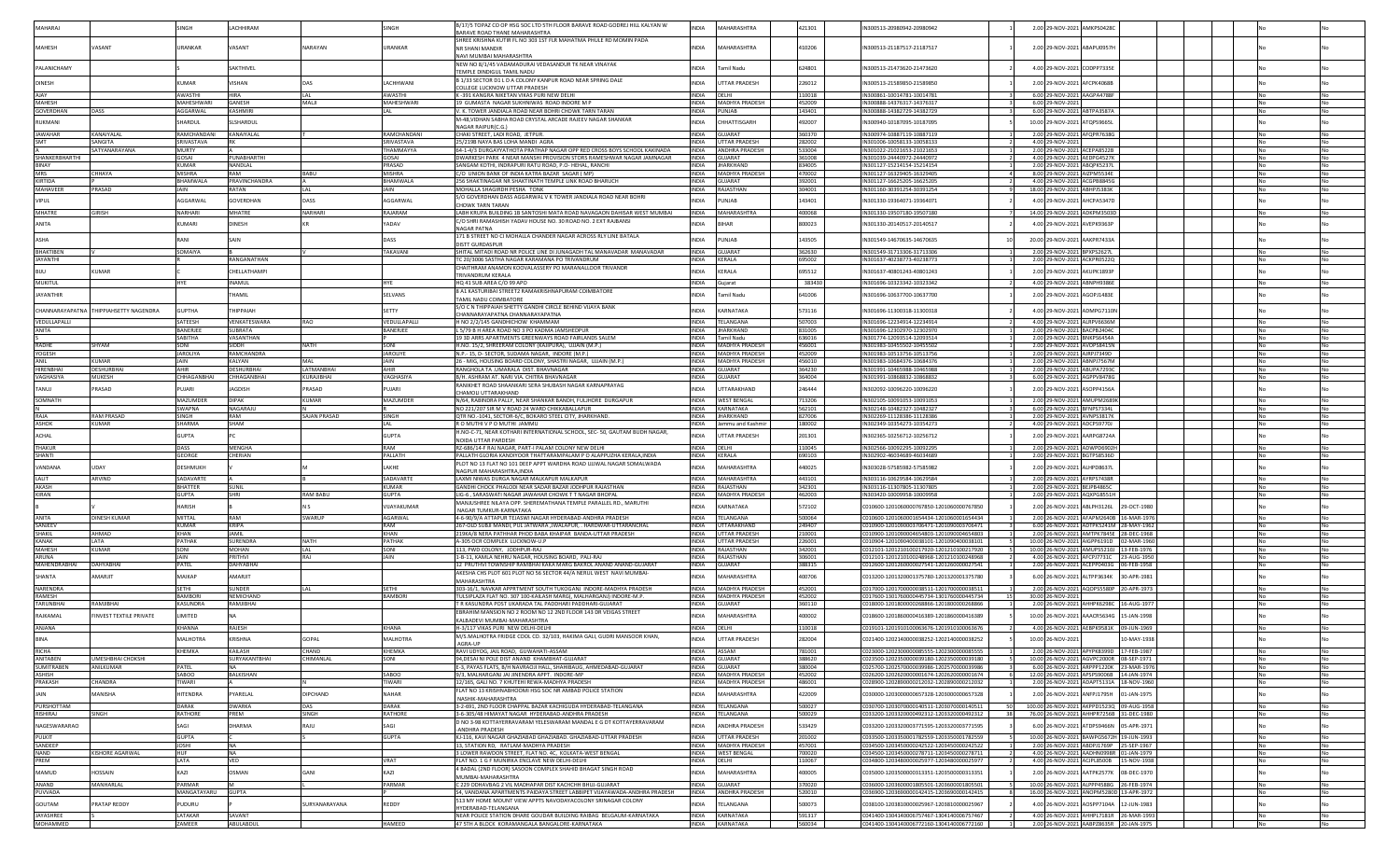|                                    |                                        | SINGH                   | LACHHIRAM                  |                     | SINGH                            | B/17/5 TOPAZ CO OP HSG SOC LTD 5TH FLOOR BARAVE ROAD GODREJ HILL KALYAN W                                                                       | <b>INDIA</b>                 | MAHARASHTRA                             | 421301           | IN300513-20980942-20980942                                                             |    | 2.00 29-NOV-2021 AMKPS0428C                                                         |           |                        |
|------------------------------------|----------------------------------------|-------------------------|----------------------------|---------------------|----------------------------------|-------------------------------------------------------------------------------------------------------------------------------------------------|------------------------------|-----------------------------------------|------------------|----------------------------------------------------------------------------------------|----|-------------------------------------------------------------------------------------|-----------|------------------------|
| MAHARA                             |                                        |                         |                            |                     |                                  | BARAVE ROAD THANE MAHARASHTRA                                                                                                                   |                              |                                         |                  |                                                                                        |    |                                                                                     |           |                        |
| MAHESH                             | VASANT                                 | URANKAR                 | VASANT                     | NARAYAN             | <b>JRANKAR</b>                   | SHREE KRISHNA KUTIR FL NO 303 1ST FLR MAHATMA PHULE RD MOMIN PADA<br>NR SHANI MANDIR                                                            | <b>INDIA</b>                 | MAHARASHTRA                             | 410206           | IN300513-21187517-21187517                                                             |    | 2.00 29-NOV-2021 ABAPU0957H                                                         |           |                        |
|                                    |                                        |                         |                            |                     |                                  | NAVI MUMBAI MAHARASHTRA                                                                                                                         |                              |                                         |                  |                                                                                        |    |                                                                                     |           |                        |
| PALANICHAMY                        |                                        |                         | AKTHIVEL                   |                     |                                  | NEW NO 8/1/45 VADAMADURAI VEDASANDUR TK NEAR VINAYAK                                                                                            | <b>NDIA</b>                  | <b>Tamil Nadu</b>                       | 624801           | N300513-21473620-21473620                                                              |    | 4.00 29-NOV-2021 CODPP7335E                                                         |           |                        |
|                                    |                                        |                         |                            |                     |                                  | TEMPLE DINDIGUL TAMIL NADL                                                                                                                      |                              |                                         |                  |                                                                                        |    |                                                                                     |           |                        |
| <b>DINESH</b>                      |                                        | <b>CLIMAR</b>           | /ISHAN                     |                     | <b>ACHHWAN</b>                   | B 1/33 SECTOR D1 L D A COLONY KANPUR ROAD NEAR SPRING DALE<br>COLLEGE LUCKNOW UTTAR PRADESI                                                     | <b>INDIA</b>                 | <b>UTTAR PRADESH</b>                    | 226012           | IN300513-21589850-21589850                                                             |    | 2.00 29-NOV-2021 AFCPK4068B                                                         |           |                        |
| AIAY                               |                                        | AWASTHI                 | <b>HIRA</b>                | LAL                 | AWASTHI                          | K -391 KANGRA NIKETAN VIKAS PURI NEW DELHI                                                                                                      | <b>INDIA</b>                 | <b>IDELHI</b>                           | 110018           | IN300861-10014781-1001478;                                                             |    | 6.00 29-NOV-2021 AAGPA4788F                                                         |           | <b>No</b>              |
| MAHESH                             |                                        | <b>MAHESHWAR</b>        | GANESH                     | MALI                | MAHESHWARI                       | 19 GUMASTA NAGAR SUKHNIWAS ROAD INDORE M P                                                                                                      | <b>INDIA</b>                 | <b>MADHYA PRADESH</b>                   | 452009           | IN300888-14376317-14376317                                                             |    | 6.00 29-NOV-2021                                                                    |           |                        |
| GOVERDHAN                          | DASS                                   | AGGARWAL                | <b>KASHMIRI</b>            |                     | AL                               | V. K. TOWER JANDIALA ROAD NEAR BOHRI CHOWK TARN TARAN<br>M-48,VIDHAN SABHA ROAD CRYSTAL ARCADE RAJEEV NAGAR SHANKAF                             |                              | INDIA PUNJAB                            | 143401           | IN300888-14382729-14382729                                                             |    | 6.00 29-NOV-2021 ABTPA3587A                                                         |           |                        |
| RUKMANI                            |                                        | <b>HARDUL</b>           | LSHARDUL                   |                     |                                  | NAGAR RAIPUR(C.G.)                                                                                                                              | <b>INDIA</b>                 | <b>CHHATTISGARH</b>                     | 492007           | IN300940-10187095-10187095                                                             |    | 10.00 29-NOV-2021 ATQPS9665L                                                        |           |                        |
| <b>JAWAHAR</b>                     | KANAIYALAL                             | RAMCHANDANI             | KANAIYALAL                 |                     | RAMCHANDANI                      | CHAKI STREET, LADI ROAD, JETPUR.                                                                                                                | <b>INDIA</b>                 | <b>JUJARAT</b>                          | 360370           | N300974-10887119-10887119                                                              |    | 2.00 29-NOV-2021 AFQPR7638G                                                         |           |                        |
| <b>SMT</b>                         | SANGITA                                | SRIVASTAVA              |                            |                     | SRIVASTAVA                       | 25/219B NAYA BAS LOHA MANDI AGRA                                                                                                                | <b>INDIA</b>                 | <b>UTTAR PRADESI</b>                    | 282002           | N301006-10058133-10058133                                                              |    | 4.00 29-NOV-202:                                                                    |           |                        |
| SHANKERBHARTHI                     | SATYANARAYANA                          | MURTY<br><b>GOSAI</b>   | PUNABHARTH                 |                     | <b><i>FHAMMAYYA</i></b><br>GOSAI | 64-1-4/3 DURGAYYATHOTA PRATHAP NAGAR OPP RED CROSS BOYS SCHOOL KAKINADA<br>DWARKESH PARK 4 NEAR MANSHI PROVISION STORS RAMESHWAR NAGAR JAMNAGAR | <b>INDIA</b><br><b>INDIA</b> | <b>ANDHRA PRADESH</b><br>GUJARAT        | 533004<br>361008 | IN301022-21021653-21021653<br>IN301039-24440972-24440972                               |    | 2.00 29-NOV-2021 ACEPA8522B<br>4.00 29-NOV-2021 AFDPG4527K                          |           | <b>No</b>              |
| <b>BINAY</b>                       |                                        | <b>KUMAR</b>            | NANDLAL                    |                     | PRASAD                           | SANGAM KOTHI, INDRAPURI RATU ROAD, P.O. HEHAL, RANCH                                                                                            | <b>INDIA</b>                 | <b>JHARKHAND</b>                        | 834005           | IN301127-15214154-15214154                                                             |    | 2.00 29-NOV-2021 ABOPK5237L                                                         |           | <b>No</b><br><b>No</b> |
| MRS                                | CHHAYA                                 | <b>MISHRA</b>           | RAM                        | <b>BABU</b>         | <b>MISHRA</b>                    | C/O UNION BANK OF INDIA KATRA BAZAR SAGAR (MP)                                                                                                  |                              | INDIA MADHYA PRADESH                    | 470002           | IN301127-16329405-16329405                                                             |    | 8.00 29-NOV-2021 AIZPM5534E                                                         |           |                        |
| KIRTIDA                            |                                        | <b>BHAMWAI A</b>        | PRAVINCHANDRA              |                     | <b>BHAMWAIA</b>                  | 256 SHAKTINAGAR NR SHAKTINATH TEMPLE LINK ROAD BHARUCH                                                                                          |                              | INDIA GUJARAT                           | 392001           | IN301127-16625205-16625205                                                             |    | 4.00 29-NOV-2021 ACGPB8845G                                                         |           | <b>No</b>              |
| MAHAVEER                           | PRASAD                                 | JAIN                    | RATAN                      | <b>LAL</b>          | JAIN                             | MOHALLA SHAGIRDH PESHA TONK                                                                                                                     | <b>INDIA</b>                 | RAJASTHAN                               | 304001           | IN301160-30391254-30391254                                                             |    | 18.00 29-NOV-2021 ABHPJ5383K                                                        |           | <b>No</b>              |
| <b>VIPUL</b>                       |                                        | AGGARWAL                | <b>GOVERDHAN</b>           | DASS                | AGGARWAL                         | S/O GOVERDHAN DASS AGGARWAL V K TOWER JANDIALA ROAD NEAR BOHRI<br><b>HOWK TARN TARAI</b>                                                        | <b>NDIA</b>                  | PUNJAB                                  | 143401           | N301330-19364071-19364071                                                              |    | 4.00 29-NOV-2021 AHCPA5347D                                                         |           |                        |
| MHATRE                             | <b>GIRISH</b>                          | <b>NARHARI</b>          | MHATRE                     | NARHARI             | RAJARAM                          | LABH KRUPA BUILDING 1B SANTOSHI MATA ROAD NAVAGAON DAHISAR WEST MUMBAI                                                                          | <b>INDIA</b>                 | MAHARASHTRA                             | 400068           | IN301330-19507180-19507180                                                             |    | 14.00 29-NOV-2021 ADKPM3503D                                                        |           |                        |
|                                    |                                        |                         |                            |                     |                                  | C/O SHRI RAMASHISH YADAV HOUSE NO. 30 ROAD NO. 2 EXT RAJBANSI                                                                                   |                              |                                         |                  |                                                                                        |    |                                                                                     |           |                        |
| ANITA                              |                                        | KUMARI                  | <b>DINESH</b>              |                     | <b>ADAV</b>                      | NAGAR PATNA                                                                                                                                     | <b>INDIA</b>                 | <b>BIHAR</b>                            | 800023           | IN301330-20140517-20140517                                                             |    | 4.00 29-NOV-2021 AVEPK9363P                                                         |           |                        |
| <b>ASHA</b>                        |                                        | RANI                    | SAIN                       |                     | DASS                             | 171 B STREET NO CI MOHALLA CHANDER NAGAR ACROSS RLY LINE BATALA                                                                                 | <b>INDIA</b>                 | PUNJAB                                  | 143505           | IN301549-14670635-14670635                                                             |    | 20.00 29-NOV-2021 AAKPR7433A                                                        |           |                        |
| <b>BHAKTIBEN</b>                   |                                        | SOMAIYA                 |                            |                     | TAKAVANI                         | DISTT GURDASPUR                                                                                                                                 | <b>INDIA</b>                 | GUIARAT                                 | 362630           | IN301549-31713306-31713306                                                             |    |                                                                                     |           | <b>No</b>              |
| <b>JAYANTHI</b>                    |                                        |                         | RANGANATHAN                |                     |                                  | SHITAL MITADI ROAD NR POLICE LINE DI JUNAGADH TAL MANAVADAR MANAVADAR<br>C 20/3006 SASTHA NAGAR KARAMANA PO TRIVANDRUM                          | <b>INDIA</b>                 | KERALA                                  | 695002           | IN301637-40238773-40238773                                                             |    | 2.00 29-NOV-2021 BPXPS2627L<br>2.00 29-NOV-2021 ACKPR0522Q                          |           |                        |
|                                    |                                        |                         |                            |                     |                                  | CHAITHRAM ANAMON KOOVALASSERY PO MARANALLOOR TRIVANDR                                                                                           |                              |                                         |                  |                                                                                        |    |                                                                                     |           |                        |
| <b>BIJU</b>                        | KUMAR                                  |                         | <b>HELLATHAMPI</b>         |                     |                                  | <b>FRIVANDRUM KERALA</b>                                                                                                                        | <b>INDIA</b>                 | KERALA                                  | 695512           | N301637-40801243-40801243                                                              |    | 2.00 29-NOV-2021 AKUPK1893P                                                         |           |                        |
| MUKITUL                            |                                        | <b>HYF</b>              | <b>INAMUL</b>              |                     | <b>HYF</b>                       | HQ 41 SUB AREA C/O 99 APO                                                                                                                       | <b>INDIA</b>                 | Guiarat                                 | 383430           | IN301696-10323342-10323342                                                             |    | 4.00 29-NOV-2021 ABNPH9386E                                                         |           | <b>No</b>              |
| <b>JAYANTHIR</b>                   |                                        |                         | <b>HAMIL</b>               |                     | SELVANS                          | 8 A1 KASTURIBAI STREET2 RAMAKRISHNAPURAM COIMBATORE                                                                                             | <b>INDIA</b>                 | <b>Tamil Nadu</b>                       | 641006           | IN301696-10637700-10637700                                                             |    | 2.00 29-NOV-2021 AGOPJ1483E                                                         |           |                        |
|                                    |                                        |                         |                            |                     |                                  | TAMIL NADU COIMBATORE<br>S/O C N THIPPAIAH SHETTY GANDHI CIRCLE BEHIND VIJAYA BANK                                                              |                              |                                         |                  |                                                                                        |    |                                                                                     |           |                        |
|                                    | CHANNARAYAPATNA THIPPIAHSETTY NAGENDRA | <b>GUPTHA</b>           | <b>HIPPAIAH</b>            |                     | SFTTY                            | CHANNARAYAPATNA CHANNARAYAPATNA                                                                                                                 | <b>INDIA</b>                 | KARNATAKA                               | 573116           | IN301696-11300318-11300318                                                             |    | 4.00 29-NOV-2021 ADMPG7110N                                                         |           |                        |
| VEDULLAPALLI                       |                                        | SATEESH                 | VENKATESWARA               | RAO                 | VEDULLAPALLI                     | H NO 2/2/145 GANDHICHOW KHAMMAM                                                                                                                 | <b>INDIA</b>                 | <b><i>TELANGANA</i></b>                 | 507003           | IN301696-12234914-12234914                                                             |    | 4.00 29-NOV-2021 ALRPV6636M                                                         |           | <b>No</b>              |
| ANITA                              |                                        | BANERJEE                | UBRATA                     |                     | BANERJEE                         | 5/79 B H AREA ROAD NO 3 PO KADMA JAMSHEDPUR                                                                                                     | <b>INDIA</b>                 | <b>JHARKHAND</b>                        | 831005           | N301696-12302970-12302970                                                              |    | 2.00 29-NOV-2021 BACPB2404C                                                         |           |                        |
|                                    |                                        | SABITHA                 | <b>ASANTHAN</b>            |                     |                                  | 19 3D ARRS APARTMENTS GREENWAYS ROAD FAIRLANDS SALEM                                                                                            | <b>INDIA</b>                 | amil Nadu                               | 636016           | IN301774-12093514-12093514                                                             |    | 2.00 29-NOV-2021 BNKPS6454A                                                         |           |                        |
| <b>RADHE</b><br>YOGESH             | SHYAM                                  | SONI<br><b>JAROLIYA</b> | <b>SIDDH</b><br>RAMCHANDRA | <b>NATH</b>         | SONI<br><b>JAROLIYE</b>          | H.NO. 15/2. SHREERAM COLONY (KAJIPURA). UJJAIN (M.P.)<br>N.P.- 15. D- SECTOR, SUDAMA NAGAR, INDORE (M.P.)                                       | <b>INDIA</b><br><b>INDIA</b> | MADHYA PRADESH<br><b>MADHYA PRADESH</b> | 456001<br>452009 | IN301983-10455502-10455502<br>IN301983-10513756-10513756                               |    | 2.00 29-NOV-2021 AVOPS8415N<br>2.00 29-NOV-2021 AJRPJ7349D                          |           | <b>No</b><br>No        |
| ANIL                               | KUMAR                                  | JAIN                    | KALYAN                     |                     | <b>JAIN</b>                      | 26 - MIG, HOUSING BOARD COLONY, SHASTRI NAGAR, UJJAIN (M.P.)                                                                                    | <b>INDIA</b>                 | <b>MADHYA PRADESH</b>                   | 456010           | IN301983-10684376-10684376                                                             |    | 2.00 29-NOV-2021 ABNPJ7567M                                                         |           | No                     |
| <b>HIRFNRHA</b>                    | <b>DESHURBHA</b>                       | AHIR                    | <b>DESHURBHA</b>           | LATMANBHA           | <b>AHIR</b>                      | RANGHOLA TA .UMARALA DIST. BHAVNAGAR                                                                                                            | <b>INDIA</b>                 | GUJARAT                                 | 364230           | IN301991-10465988-10465988                                                             |    | 2.00 29-NOV-2021 ABUPA7293C                                                         |           |                        |
| VAGHASIYA                          | MUKESH                                 | CHHAGANBHAI             | CHHAGANRHA                 | KURAJIRHAI          | VAGHASIYA                        | B/H. ASHRAM AT. NARI VIA. CHITRA BHAVNAGAR                                                                                                      | <b>INDIA</b>                 | GUIARAT                                 | 364004           | LN301991-10868832-10868832                                                             |    | 6.00 29-NOV-2021 AGPPV8478G                                                         |           | No                     |
| TANUJ                              | PRASAD                                 | <b>UJARI</b>            | AGDISH                     | PRASAD              | PUJARI                           | RANIKHET ROAD SHAANKARI SERA SHUBASH NAGAR KARNAPRAYAG                                                                                          | <b>INDIA</b>                 | UTTARAKHAND                             | 246444           | IN302092-10096220-10096220                                                             |    | 2.00 29-NOV-2021 ASOPP4156A                                                         |           |                        |
|                                    |                                        |                         |                            |                     |                                  | CHAMOLI UTTARAKHAND                                                                                                                             |                              |                                         |                  |                                                                                        |    |                                                                                     |           |                        |
| SOMNATH                            |                                        | MAZUMDER                | DIPAK                      | <b>UMAR</b>         | MAZUMDER                         | N/64, RABINDRA PALLY, NEAR SHANKAR BANDH, FULJHORE DURGAPUR                                                                                     | <b>INDIA</b>                 | <b>WEST BENGAL</b>                      | 713206           | N302105-10091053-10091053                                                              |    | 2.00 29-NOV-2021 AMUPM2689K                                                         |           |                        |
| RAIA                               | <b>RAM PRASAD</b>                      | <b>SWAPNA</b><br>SINGH  | NAGARAJU<br>RAM            | <b>SAIAN PRASAD</b> | SINGH                            | NO 221/207 SIR M V ROAD 24 WARD CHIKKABALLAPUI<br>OTR NO.-1041. SECTOR-6/C. BOKARO STEEL CITY. JHARKHAND                                        | <b>INDIA</b><br><b>INDIA</b> | KARNATAKA<br><b>IHARKHAND</b>           | 562101<br>827006 | IN302148-10482327-10482327<br>IN302269-11128386-11128386                               |    | 6.00 29-NOV-2021 BFNPS7334L<br>2.00 29-NOV-2021 AVNPS3817K                          |           | <b>No</b><br><b>No</b> |
| <b>ASHOK</b>                       | <b>KUMAR</b>                           | SHARMA                  | SHAM                       |                     |                                  | R O MUTHI V P O MUTHI JAMMU                                                                                                                     | <b>INDIA</b>                 | lammu and Kashmir                       | 180002           | IN302349-10354273-10354273                                                             |    | 4.00 29-NOV-2021 ADCPS9770J                                                         |           | <b>No</b>              |
| <b>ACHAI</b>                       |                                        | <b>GUPTA</b>            |                            |                     | <b>GUPTA</b>                     | H.NO-C-71, NEAR KOTHARI INTERNATIONAL SCHOOL, SEC-50, GAUTAM BUDH NAGAR,                                                                        |                              |                                         |                  |                                                                                        |    |                                                                                     |           |                        |
|                                    |                                        |                         |                            |                     |                                  | NOIDA UTTAR PARDESH                                                                                                                             | <b>INDIA</b>                 | UTTAR PRADESH                           | 201301           | IN302365-10256712-10256712                                                             |    | 2.00 29-NOV-2021 AARPG8724A                                                         |           |                        |
| THAKUR                             |                                        | DASS                    | <b>MFNGHA</b>              |                     | RAM                              | RZ-686/14-F RAJ NAGAR. PART-I PALAM COLONY NEW DELHI                                                                                            | <b>INDIA</b>                 | DELHI                                   | 110045           | IN302566-10092295-10092295                                                             |    | 2.00 29-NOV-2021 ADWPD6902H                                                         |           | <b>No</b>              |
| SHANTI                             |                                        | <b>GEORGE</b>           | CHERIAN                    |                     | PALLATH                          | PALLATH GLORIA KANDIYOOR THATTARAMPALAM P O ALAPPUZHA KERALA.INDIA                                                                              | <b>INDIA</b>                 | <b>KFRAIA</b>                           | 690103           | IN302902-46034689-46034689                                                             |    | 2.00 29-NOV-2021 BGTPS8536D                                                         |           |                        |
| <b>VANDANA</b>                     |                                        | DESHMUKH                |                            |                     | AKHE                             | PLOT NO 13 FLAT NO 101 DEEP APPT WARDHA ROAD UJJWAL NAGAR SOMALWADA<br><b>VAGPUR MAHARASHTRA.INDI</b>                                           | <b>INDIA</b>                 | <b>AHARASHTRA</b>                       | 440025           | N303028-57585982-57585982                                                              |    | 2.00 29-NOV-2021 ALHPD8637L                                                         |           |                        |
| <b>IAIT</b>                        | ARVIND                                 | SADAVARTE               |                            |                     | SADAVARTE                        | LAXMI NIWAS DURGA NAGAR MALKAPUR MALKAPUR                                                                                                       | <b>INDIA</b>                 | MAHARASHTRA                             | 443101           | IN303116-10629584-10629584                                                             |    | 2.00 29-NOV-2021 AYRPS7438R                                                         |           | <b>INO</b>             |
| AKASH                              |                                        | <b>BHATTER</b>          | SUNIL                      |                     | <b>KUMAR</b>                     | GANDHI CHOCK PHALODI NEAR SADAR BAZAR JODHPUR RAJASTHAN                                                                                         | <b>INDIA</b>                 | RAJASTHAN                               | 342301           | IN303116-11307805-11307805                                                             |    | 2.00 29-NOV-2021 BEJPB4865C                                                         |           | <b>No</b>              |
| KIRAN                              |                                        | <b>GUPTA</b>            | <b>SHRI</b>                | <b>RAM BABL</b>     | <b>GUPTA</b>                     | LIG-6, SARASWATI NAGAR JAWAHAR CHOWK TT NAGAR BHOPAL                                                                                            | <b>INDIA</b>                 | MADHYA PRADESH                          | 462003           | IN303420-10009958-10009958                                                             |    | 2.00 29-NOV-2021 AQXPG8551H                                                         |           | No                     |
|                                    |                                        | <b>HARISH</b>           |                            |                     | VIJAYAKUMAR                      | MANJUSHREE NILAYA OPP. SHEREMATHANA TEMPLE PARALLEL RD., MARUTHI                                                                                | <b>INDIA</b>                 | KARNATAKA                               | 572102           | C010600-1201060000767850-1201060000767850                                              |    | 2.00 26-NOV-2021 ABLPH3126L<br>29-OCT-1980                                          |           |                        |
| ANITA                              | <b>DINESH KUMAR</b>                    | MITTAL                  | RAM                        | SWARUP              | AGARWAL                          | NAGAR TUMKUR-KARNATAKA<br>4-6-90/9/A ATTAPUR TEJASWI NAGAR HYDERABAD-ANDHRA PRADESH                                                             | <b>INDIA</b>                 | TELANGANA                               | 500064           | C010600-1201060001654434-1201060001654434                                              |    | 2.00 26-NOV-2021 AFAPM2640B 16-MAR-1976                                             |           | <b>No</b>              |
| SANJEEV                            |                                        | <b>(UMAR</b>            | <b>KRIPA</b>               |                     |                                  | 267-OLD SUBJI MANDI, PUL JATWARA ,JWALAPUR, . HARDWAR-UTTARANCHAL                                                                               | <b>INDIA</b>                 | <b>JTTARAKHAND</b>                      | 249407           | 010900-1201090003706471-1201090003706471                                               |    | 6.00 26-NOV-2021 ADTPK5241M 28-MAY-1962                                             |           | No                     |
| SHAKIL                             | AHMAD                                  | KHAN                    | <b>JAMIL</b>               |                     | KHAN                             | 19KA/8 NERA PATHHAR PHOD BABA KHAIPAR BANDA-UTTAR PRADESH                                                                                       | <b>INDIA</b>                 | UTTAR PRADESH                           | 210001           | 010900-1201090004654803-1201090004654803                                               |    | 2.00 26-NOV-2021 AMTPK7845E 28-DEC-1968                                             |           |                        |
| <b>KANAK</b>                       | <b>IATA</b>                            | PATHAK                  | <b>SURFNDRA</b>            | NATH                | PATHAK                           | A-305 OCR COMPLEX LUCKNOW-U.P                                                                                                                   | <b>INDIA</b>                 | <b>UTTAR PRADESH</b>                    | 226001           | 010904-1201090400038101-1201090400038101                                               |    | 10.00 26-NOV-2021 AIGPP6191D 02-MAR-1960                                            |           |                        |
| <b>MAHESH</b>                      | <b>KUMAR</b>                           | SONI                    | <b>MOHAN</b>               | LAL                 | SONI                             | 113. PWD COLONY. JODHPUR-RAJ                                                                                                                    | <b>INDIA</b>                 | <b>RAJASTHAN</b>                        | 342001           | C012101-1201210100217920-1201210100217920                                              |    | 10.00 26-NOV-2021 AMUPS5210J 13-FEB-1976                                            |           | <b>No</b>              |
| ARUNA<br>MAHENDRABHAI              |                                        | JAIN                    | PRITHVI<br>DAHYABHA        | RAJ                 | JAIN                             | 1-B-11, KAMLA NEHRU NAGAR, HOUSING BOARD, PALI-RAJ                                                                                              | <b>INDIA</b>                 | RAJASTHAN<br>GUJARAT                    | 306001           | 0012101-1201210100248968-1201210100248968                                              |    | 4.00 26-NOV-2021 AFCPJ7731C 23-AUG-1950<br>2.00 26-NOV-2021 ACEPP0403G 06-FEB-1958  |           | No                     |
|                                    | <b>DAHYABHAI</b>                       | PATEL                   |                            |                     |                                  | 12 PRUTHVI TOWNSHIP RAMBHAI KAKA MARG BAKROL ANAND ANAND-GUJARAT<br>AKESHA CHS PLOT 601 PLOT NO 56 SECTOR 44/A NERUL WEST NAVI MUMBAI-          | <b>INDIA</b>                 |                                         | 388315           | 0012600-1201260000027541-1201260000027541                                              |    |                                                                                     |           |                        |
| SHANTA                             | AMARJIT                                | MAIKAP                  | AMARJIT                    |                     |                                  | MAHARASHTRA                                                                                                                                     | <b>INDIA</b>                 | MAHARASHTRA                             | 400706           | C013200-1201320001375780-1201320001375780                                              |    | 6.00 26-NOV-2021 ALTPP3634K 30-APR-1981                                             |           |                        |
| <b>NARENDRA</b>                    |                                        | <b>SETHI</b>            | <b>UNDER</b>               |                     | SETHI                            | 303-16/1. NAVKAR APPRTMENT SOUTH TUKOGANJ INDORE-MADHYA PRADESH                                                                                 | <b>INDIA</b>                 | <b>MADHYA PRADESH</b>                   | 452001           | C017000-1201700000038511-1201700000038511                                              |    | 2.00 26-NOV-2021 AOOPS5580P 20-APR-1973                                             |           | <b>No</b>              |
| RAMESH                             |                                        | <b>BAMBOR</b>           | <b>EMICHAND</b>            |                     | <b>BAMBORI</b>                   | TULSIPLAZA FLAT NO. 307 100-KAILASH MARG(, MALHARGANJ) INDORE-M.P.                                                                              | <b>INDIA</b>                 | <b>MADHYA PRADESH</b>                   | 452002           | 017600-1301760000445734-1301760000445734                                               |    | 30.00 26-NOV-2021                                                                   |           |                        |
| <b>TARUNBHA</b>                    | RAMJIBHAI                              | KASUNDRA                | RAMJIBHAI                  |                     |                                  | R KASUNDRA POST UKARADA TAL PADDHARI PADDHARI-GUJARAT                                                                                           | <b>INDIA</b>                 | <b>GUJARAT</b>                          | 360110           | 018000-1201800000268866-1201800000268866                                               |    | 2.00 26-NOV-2021 AHHPK6298C 16-AUG-1977                                             |           |                        |
| RAJKAMAL                           | <b>FINVEST TEXTILE PRIVATE</b>         | <b>IMITED</b>           |                            |                     |                                  | EBRAHIM MANSION NO 2 ROOM NO 12 2ND FLOOR 143 DR VEIGAS STREET<br>KALBADEVI MUMBAI-MAHARASHTRA                                                  | <b>INDIA</b>                 | MAHARASHTRA                             | 400002           | C018600-1201860000416389-1201860000416389                                              |    | 10.00 26-NOV-2021 AAACR5634G 15-JAN-1998                                            |           |                        |
| ANJANA                             |                                        | <b>CHANNA</b>           | RAJESH                     |                     | <b>CHANA</b>                     | H-3/117 VIKAS PURI NEW DELHI-DELHI                                                                                                              | <b>INDIA</b>                 | DELHI                                   | 110018           | C019101-1201910100063676-1201910100063676                                              |    | 4.00 26-NOV-2021 AEBPK9581K 09-JUN-1969                                             |           |                        |
| <b>RINA</b>                        |                                        | ALHOTRA                 | <b>AMH219</b>              |                     | ΔΑΙ ΗΠΤΡΑ                        | M/S.MALHOTRA FRIDGE COOL CO. 32/103, HAKIMA GALI, GUDRI MANSOOR KHAN,                                                                           | <b>INDIA</b>                 |                                         |                  |                                                                                        |    |                                                                                     |           |                        |
|                                    |                                        |                         |                            |                     |                                  | AGRA-UP                                                                                                                                         |                              | UTTAR PRADESH                           | 282004           | 021400-1202140000038252-1202140000038252                                               |    | 10.00 26-NOV-2021<br>-MAY-1938                                                      |           |                        |
| RICHA                              |                                        | KHEMKA                  | KAILASH                    | CHAND               | KHEMKA                           | RAVI UDYOG, JAIL ROAD, GUWAHATI-ASSAM                                                                                                           |                              | INDIA ASSAM                             | 781001           | 023000-1202300000085555-1202300000085555                                               |    | 2.00 26-NOV-2021 APYPK8399D 17-FEB-1987                                             |           |                        |
| ANITABEN                           | <b>IMESHBHAI CHOKSH</b>                |                         | SURYAKANTBHAI              | CHIMANLAL           | SONI                             | 94.DESAI NI POLE DIST ANAND KHAMBHAT-GUJARAT                                                                                                    | <b>INDIA</b>                 | <b>GUJARAT</b>                          | 388620           | 023500-1202350000039180-1202350000039180                                               |    | 10.00 26-NOV-2021 AGVPC2000R 08-SEP-1971                                            |           | No                     |
| <b>SUMITRABEN</b><br><b>ASHISH</b> | ANILKUMAR                              | PATE<br>SABOO           | <b>BAIKISHAN</b>           |                     | <b>CORA?</b>                     | E-3, PAYAS FLATS, B/H NAVRAOJI HALL, SHAHIBAUG, AHMEDABAD-GUJARAT<br>9/3. MAI HARGANI IAI IINENDRA APPT. INDORE-MP                              | <b>INDIA</b>                 | GUJARAT<br>INDIA MADHYA PRADESH         | 380004<br>452002 | 025700-1202570000039986-1202570000039986<br>026200-1202620000001674-1202620000001674   |    | 6.00 26-NOV-2021 ARPPP1220K 23-MAR-1976<br>12.00 26-NOV-2021 APSPS9006B 14-JAN-1974 | <b>No</b> | No<br><b>No</b>        |
| <b>PRAKASH</b>                     | CHANDRA                                | TIWARI                  |                            |                     | TIWARI                           | 12/165, GALI NO. 7 KHUTEHI REWA-MADHYA PRADESH                                                                                                  | <b>INDIA</b>                 | MADHYA PRADESH                          | 486001           | C028900-1202890000212032-1202890000212032                                              |    | 2.00 26-NOV-2021 ADAPT5131A 18-NOV-1960                                             | <b>No</b> | No.                    |
| JAIN                               | MANISHA                                | <b>HITENDRA</b>         | PYARELAL                   | DIPCHAND            | NAHAR                            | FLAT NO 13 KRISHNABHOOMI HSG SOC NR AMBAD POLICE STATION                                                                                        | <b>INDIA</b>                 | MAHARASHTRA                             | 422009           | 030000-1203000000657328-1203000000657328                                               |    | 2.00 26-NOV-2021 ANFPJ1795H 01-JAN-1975                                             |           |                        |
|                                    |                                        |                         |                            |                     |                                  | NASHIK-MAHARASHTRA                                                                                                                              |                              |                                         |                  |                                                                                        |    |                                                                                     |           |                        |
| PURSHOTTAM                         |                                        | DARAK                   | <b>DWARKA</b>              | DAS                 | DARAK<br>RATHORE                 | 3-2-691, 2ND FLOOR CHAPPAL BAZAR KACHIGUDA HYDERABAD-TELANGANA<br>3-6-305/48 HIMAYAT NAGAR HYDERABAD-ANDHRA PRADESH                             |                              | INDIA TELANGANA                         | 500027           | C030700-1203070000140511-1203070000140511                                              | 38 | 100.00 26-NOV-2021 AKPPD15230 09-AUG-1958                                           |           | No                     |
| RISHIRAJ                           | SINGH                                  | RATHORE                 | PREM                       | SINGH               |                                  | D NO 3-98 KOTTAYERRAVARAM YELESWARAM MANDAL E G DT KOTTAYERRAVARAM                                                                              | <b>INDIA</b>                 | TELANGANA                               | 500029           | C033200-1203320000492312-1203320000492312                                              |    | 76.00 26-NOV-2021 AHHPR7256B 31-DEC-1980                                            |           | No                     |
| NAGESWARARAO                       |                                        | <b>SAGI</b>             | HARMA                      | RAJU                | SAGI                             | <b>ANDHRA PRADESH</b>                                                                                                                           | <b>INDIA</b>                 | ANDHRA PRADESH                          | 533429           | 033200-1203320003771595-1203320003771595                                               |    | 6.00 26-NOV-2021 ATDPS9466N 05-APR-1971                                             |           |                        |
| PULKIT                             |                                        | <b>GUPTA</b>            |                            |                     | <b>GUPTA</b>                     | KJ-116, KAVI NAGAR GHAZIABAD GHAZIABAD. GHAZIABAD-UTTAR PRADESH                                                                                 |                              | INDIA UTTAR PRADESH                     | 201002           | 033500-1203350001782559-1203350001782559                                               |    | 10.00 26-NOV-2021 BAWPG5672H 19-JUN-1993                                            | No        | <b>INO</b>             |
| SANDEEP                            |                                        | <b>JOSHI</b>            | <b>NA</b>                  |                     |                                  | 13, STATION RD, RATLAM-MADHYA PRADESH                                                                                                           |                              | INDIA MADHYA PRADESH                    | 457001           | C034500-1203450000242522-1203450000242522                                              |    | 2.00 26-NOV-2021 ABDPJ1769P 25-SEP-1967                                             | <b>No</b> | No.                    |
| <b>NAND</b>                        | <b>KISHORE AGARWAL</b>                 | HUF                     |                            |                     |                                  | 3 LOWER RAWDON STREET, FLAT NO, 4C, KOLKATA-WEST BENGAL                                                                                         |                              | INDIA WEST BENGAL                       | 700020           | 034500-1203450000278711-1203450000278711                                               |    | 4.00 26-NOV-2021 AADHN0998R 01-JAN-1979                                             | No        | No                     |
| PREM                               |                                        | LATA                    | <b>VED</b>                 |                     | VRAT                             | FLAT NO. 1 G F MUNIRKA ENCLAVE NEW DELHI-DELHI                                                                                                  | INDIA DELHI                  |                                         | 110067           | 034800-1203480000025977-1203480000025977                                               |    | 4.00 26-NOV-2021 ACJPL8500B 15-NOV-1938                                             |           | <b>No</b>              |
| MAMUD                              | <b>HOSSAIN</b>                         | KAZI                    | OSMAN                      |                     | KAZI                             | <b>BADAL (2ND FLOOR) SASOON COMPLEX SHAHID BHAGAT SINGH ROAD</b><br>MUMBAI-MAHARASHTRA                                                          | <b>INDIA</b>                 | MAHARASHTRA                             | 400005           | C035000-1203500000313351-1203500000313351                                              |    | 2.00 26-NOV-2021 AATPK2577K 08-DEC-1970                                             |           |                        |
| ANAND                              | MANHARI AI                             | PARMAR                  |                            |                     | <b>PARMAR</b>                    | 229 ODHAVBAG 2 VIL MADHAPAR DIST KACHCHH BHUJ-GUJARAT                                                                                           | <b>INDIA</b>                 | <b>GUJARAT</b>                          | 370020           | 036000-1203600001805501-1203600001805501                                               |    | 10.00 26-NOV-2021 ALPPP4588G 26-FEB-1974                                            |           | No                     |
| PUVVADA                            |                                        | MANGATAYARU             | <b>GUPTA</b>               |                     |                                  | 64. VANDANA APARTMENTS PAIDAYA STREET LABBIPET VIJAYAWADA-ANDHRA PRADESH                                                                        | <b>INDIA</b>                 | ANDHRA PRADESH                          | 520010           | 136900-1203690000142415-1203690000142415                                               |    | 16.00 26-NOV-2021 ANOPM5280D 13-APR-1972                                            |           |                        |
| GOUTAM                             |                                        |                         |                            |                     |                                  |                                                                                                                                                 |                              |                                         |                  |                                                                                        |    |                                                                                     |           |                        |
|                                    | PRATAP REDDY                           | PUDURU                  |                            | SURYANARAYANA       | REDDY                            | 513 MY HOME MOUNT VIEW APPTS NAVODAYACOLONY SRINAGAR COLONY                                                                                     | <b>INDIA</b>                 |                                         |                  | C038100-1203810000025967-1203810000025967                                              |    |                                                                                     |           |                        |
|                                    |                                        |                         |                            |                     |                                  | HYDFRABAD-TELANGANA                                                                                                                             |                              | TELANGANA                               | 500073           |                                                                                        |    | 4.00 26-NOV-2021 AOSPP7104A 12-JUN-1983                                             |           |                        |
| JAYASHREE<br>MOHAMMED              |                                        | LATAKAR<br>ZAMEER       | SAVANT<br>ABULABDUL        |                     | HAMEED                           | NEAR POLICE STATION DHARE GOUDAR BUILDING RAIBAG BELGAUM-KARNATAKA<br>47 STH A BLOCK KORAMANGALA BANGALORE-KARNATAKA                            |                              | INDIA KARNATAKA<br>INDIA KARNATAKA      | 591317<br>560034 | C041400-1304140006757467-1304140006757467<br>C041400-1304140006772160-1304140006772160 |    | 4.00 26-NOV-2021 AHHPL7181R 26-MAR-1993<br>2.00 26-NOV-2021 AABPZ8635R 20-JAN-1975  |           | <b>No</b>              |